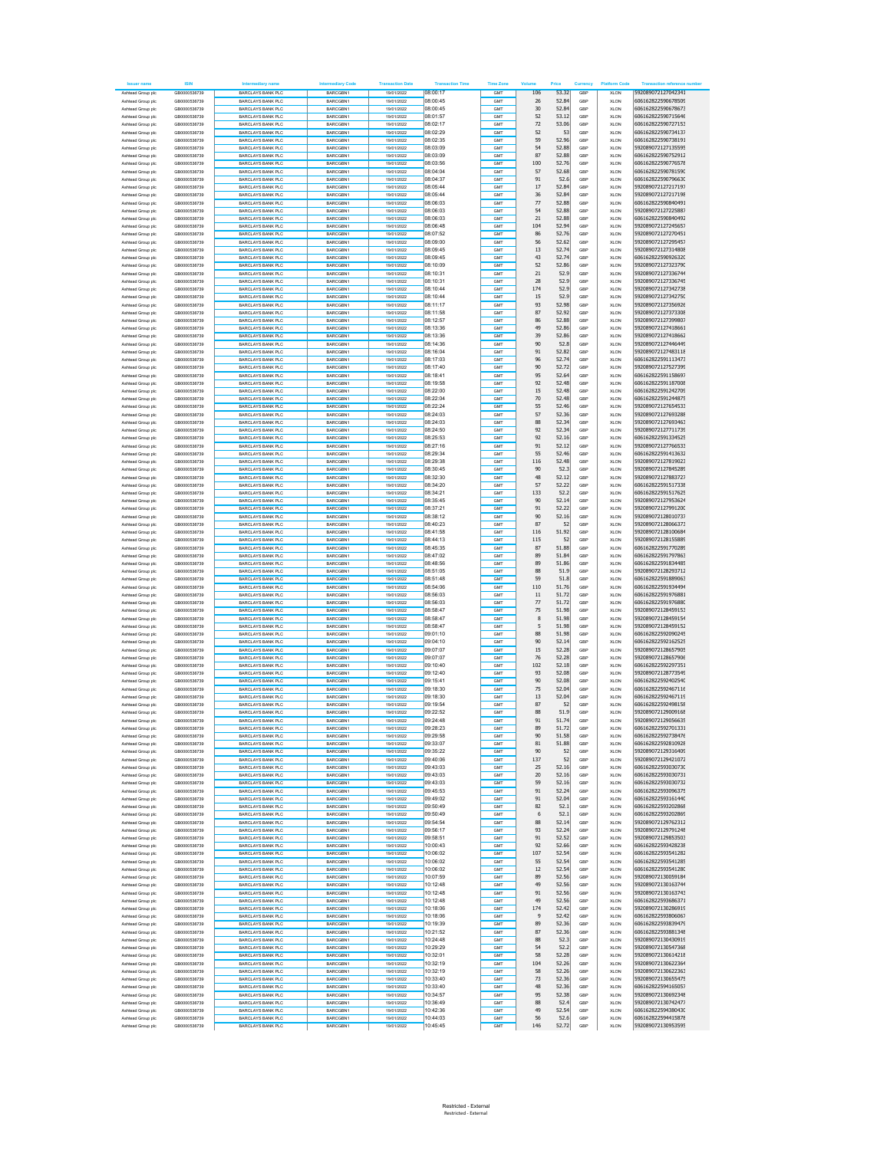| <b>Issuer name</b>                      | <b>ISIN</b>                  | diary name                                           | <b>Intermediary Code</b>    | <b>Transaction Date</b>  | <b>Transaction Time</b> | <b>Time Zone</b> | Volu         | Price          | Currency   | <b>Platform Code</b>       | <b>Transaction reference number</b>      |
|-----------------------------------------|------------------------------|------------------------------------------------------|-----------------------------|--------------------------|-------------------------|------------------|--------------|----------------|------------|----------------------------|------------------------------------------|
| Ashtead Group plc                       | GB0000536739                 | BARCLAYS BANK PLC                                    | BARCGBN1                    | 19/01/2022               | 08:00:17                | GMT              | 106          | 53.32          | GBP        | <b>XLON</b>                | 592089072127042341                       |
| Ashtead Group plc                       | GR0000536739                 | <b>BARCLAYS BANK PLC</b>                             | BARCGBN1                    | 19/01/2022               | 08:00:45                | GMT              | 26           | 52.84          | GBP        | <b>XLON</b>                | 606162822590678509                       |
| Ashtead Group plc                       | GB0000536739                 | <b>BARCLAYS BANK PLC</b>                             | BARCGBN1                    | 19/01/2022               | 08:00:45                | GMT              | 30           | 52.84          | GBP        | <b>XLON</b>                | 606162822590678673                       |
| Ashtead Group plc                       | GB0000536739                 | BARCLAYS BANK PLC                                    | BARCGBN1                    | 19/01/2022               | 08:01:57                | GMT              | 52           | 53.12          | GBP        | <b>XLON</b>                | 606162822590715646                       |
| Ashtead Group plc                       | GB0000536739                 | <b>BARCLAYS BANK PLC</b>                             | BARCGBN1                    | 19/01/2022               | 08:02:17                | GMT              | 72           | 53.06          | GBF        | <b>XLON</b>                | 606162822590727153                       |
| Ashtead Group plc                       | GR0000536739                 | BARCLAYS BANK PLC                                    | <b>BARCGRN1</b>             | 19/01/2022               | 08:02:29                | GMT              | 52           | -53            | GBP        | <b>XLON</b>                | 606162822590734137                       |
| Ashtead Group plc                       | GB0000536739                 | <b>BARCLAYS BANK PLC</b>                             | BARCGBN1                    | 19/01/2022               | 08:02:35                | GMT              | 59           | 52.96          | GBP        | <b>XLON</b>                | 606162822590738191                       |
| Ashtead Group plc                       | GR0000536739                 | <b>BARCLAYS BANK PLC</b>                             | BARCGBN1                    | 19/01/2022               | 08:03:09                | GMT              | 54           | 52.88          | GBP        | <b>XLON</b>                | 592089072127135595                       |
| Ashtead Group plc.                      | GB0000536739                 | BARCLAYS BANK PLC                                    | <b>BARCGRN1</b>             | 19/01/2022               | 08:03:09                | GMT              | 87           | 52.88          | GBP        | <b>XLON</b>                | 606162822590752912                       |
| Ashtead Group plc                       | GB0000536739                 | <b>BARCLAYS BANK PLC</b>                             | BARCGBN1                    | 19/01/2022               | 08:03:56                | GMT              | 100          | 52.76          | GBF        | <b>XLON</b>                | 606162822590776578                       |
| Ashtead Group plc                       | GB0000536739                 | BARCLAYS BANK PLC                                    | BARCGBN1                    | 19/01/2022               | 08:04:04                | GMT              | 57           | 52.68          | GBP        | <b>XLON</b>                | 606162822590781590                       |
| Ashtead Group plc                       | GR0000536739                 | <b>BARCLAYS BANK PLC</b>                             | BARCGBN1                    | 19/01/2022               | 08:04:37                | GMT              | 91           | 52.6           | GBP        | <b>XLON</b>                | 606162822590796630                       |
| Ashtead Group plc                       | GB0000536739                 | <b>BARCLAYS BANK PLC</b>                             | BARCGBN1                    | 19/01/2022               | 08:05:44<br>08:05:44    | GMT              | 17<br>36     | 52.84<br>52.84 | GBP        | XLON                       | 592089072127217197<br>592089072127217198 |
| Ashtead Group plc<br>Ashtead Group plc  | GB0000536739<br>GB0000536739 | BARCLAYS BANK PLC<br><b>BARCLAYS BANK PLC</b>        | BARCGBN1<br>BARCGBN1        | 19/01/2022<br>19/01/2022 | 08:06:03                | GMT<br>GMT       | 77           | 52.88          | GBP<br>GBF | <b>XLON</b><br><b>XLON</b> | 606162822590840491                       |
| Ashtead Group plc                       | GB0000536739                 | BARCLAYS BANK PLC                                    | BARCGBN1                    | 19/01/2022               | 08:06:03                | GMT              | 54           | 52.88          | GBP        | <b>XLON</b>                | 592089072127225887                       |
| Ashtead Group plc                       | GB0000536739                 | <b>BARCLAYS BANK PLC</b>                             | BARCGBN1                    | 19/01/2022               | 08:06:03                | GMT              | $21\,$       | 52.88          | GBF        | <b>XLON</b>                | 606162822590840492                       |
| Ashtead Group plc                       | GR0000536739                 | <b>BARCLAYS BANK PLC</b>                             | BARCGBN1                    | 19/01/2022               | 08:06:48                | GMT              | 104          | 52.94          | GBP        | <b>XLON</b>                | 592089072127245657                       |
| Ashtead Group plc.                      | GB0000536739                 | BARCLAYS BANK PLC.                                   | <b>BARCGRN1</b>             | 19/01/2022               | 08:07:52                | GMT              | 86           | 52.76          | GBP        | <b>XLON</b>                | 592089072127270451                       |
| Ashtead Group plc                       | GB0000536739                 | <b>BARCLAYS BANK PLC</b>                             | BARCGBN1                    | 19/01/2022               | 08:09:00                | GMT              | 56           | 52.62          | GBF        | <b>XLON</b>                | 592089072127295457                       |
| Ashtead Group plc                       | GB0000536739                 | BARCLAYS BANK PLC                                    | BARCGBN1                    | 19/01/2022               | 08:09:45                | GMT              | 13           | 52.74          | GBP        | <b>XLON</b>                | 592089072127314808                       |
| Ashtead Group plc                       | GR0000536739                 | <b>BARCLAYS BANK PLC</b>                             | BARCGBN1                    | 19/01/2022               | 08:09:45                | GMT              | 43           | 52.74          | GBP        | <b>XLON</b>                | 606162822590926320                       |
| Ashtead Group plc                       | GR0000536739                 | <b>BARCLAYS BANK PLC</b>                             | BARCGBN1                    | 19/01/2022               | 08:10:09                | GMT              | 52           | 52.86          | GBP        | XLON                       | 592089072127323790                       |
| Ashtead Group plc                       | GB0000536739                 | BARCLAYS BANK PLC                                    | BARCGBN1                    | 19/01/2022               | 08:10:31                | GMT              | 21           | 52.9           | GBP        | <b>XLON</b>                | 592089072127336744                       |
| Ashtead Group plc                       | GB0000536739                 | <b>BARCLAYS BANK PLC</b>                             | BARCGBN1                    | 19/01/2022               | 08:10:31                | GMT              | 28           | 52.9           | GBF        | <b>XLON</b>                | 592089072127336745                       |
| Ashtead Group plc                       | GR0000536739                 | BARCLAYS BANK PLC                                    | <b>BARCGRN1</b>             | 19/01/2022               | 08:10:44                | GMT              | 174          | 52.9           | GBP        | <b>XLON</b>                | 592089072127342738                       |
| Ashtead Group plc                       | GB0000536739<br>GR0000536739 | <b>BARCLAYS BANK PLC</b><br><b>BARCLAYS BANK PLC</b> | BARCGBN1                    | 19/01/2022               | 08:10:44<br>08:11:17    | GMT<br>GMT       | $15\,$<br>93 | 52.9<br>52.98  | GBP<br>GBP | <b>XLON</b><br><b>XLON</b> | 592089072127342750<br>592089072127356926 |
| Ashtead Group plc<br>Ashtead Group plc  | GB0000536739                 | <b>BARCLAYS BANK PLC</b>                             | BARCGBN1<br>BARCGBN1        | 19/01/2022<br>19/01/2022 | 08:11:58                | GMT              | 87           | 52.92          | GBP        | <b>XLON</b>                | 592089072127373308                       |
| Ashtead Group plc                       | GB0000536739                 | <b>BARCLAYS BANK PLC</b>                             | BARCGBN1                    | 19/01/2022               | 08:12:57                | GMT              | 86           | 52.88          | GBF        | <b>XLON</b>                | 592089072127399807                       |
| Ashtead Group plc                       | GB0000536739                 | BARCLAYS BANK PLC                                    | BARCGBN1                    | 19/01/2022               | 08:13:36                | GMT              | 49           | 52.86          | GBP        | <b>XLON</b>                | 592089072127418661                       |
| Ashtead Group plc                       | GB0000536739                 | <b>BARCLAYS BANK PLC</b>                             | BARCGBN1                    | 19/01/2022               | 08:13:36                | GMT              | 39           | 52.86          | GBP        | <b>XLON</b>                | 592089072127418662                       |
| Ashtead Group plc                       | GB0000536739                 | <b>BARCLAYS BANK PLC</b>                             | BARCGBN1                    | 19/01/2022               | 08:14:36                | GMT              | 90           | 52.8           | GBP        | XLON                       | 592089072127446449                       |
| Ashtead Group plc                       | GB0000536739                 | BARCLAYS BANK PLC                                    | BARCGBN1                    | 19/01/2022               | 08:16:04                | GMT              | 91           | 52.82          | GBP        | <b>XLON</b>                | 592089072127483118                       |
| Ashtead Group plc                       | GB0000536739                 | <b>BARCLAYS BANK PLC</b>                             | BARCGBN1                    | 19/01/2022               | 08:17:03                | GMT              | 96           | 52.74          | GBF        | <b>XLON</b>                | 606162822591113473                       |
| Ashtead Group plc                       | GR0000536739                 | BARCLAYS BANK PLC                                    | <b>BARCGRN1</b>             | 19/01/2022               | 08:17:40                | GMT              | 90           | 52.72          | GBP        | <b>XLON</b>                | 592089072127527399                       |
| Ashtead Group plc                       | GR0000536739<br>GR0000536739 | <b>BARCLAYS BANK PLC</b>                             | BARCGBN1                    | 19/01/2022               | 08:18:41                | GMT              | 95           | 52.64          | GBP        | <b>XLON</b>                | 606162822591158697                       |
| Ashtead Group plc<br>Ashtead Group plc. |                              | <b>BARCLAYS BANK PLC</b><br>BARCLAYS BANK PLC.       | BARCGBN1<br><b>BARCGRN1</b> | 19/01/2022               | 08:19:58<br>08:22:00    | GMT              | 92<br>15     | 52.48<br>52.48 | GBP        | <b>XLON</b>                | 606162822591187008<br>606162822591242709 |
| Ashtead Group plc                       | GB0000536739<br>GB0000536739 | <b>BARCLAYS BANK PLC</b>                             | BARCGBN1                    | 19/01/2022<br>19/01/2022 | 08:22:04                | GMT<br>GMT       | 70           | 52.48          | GBP<br>GBF | <b>XLON</b><br><b>XLON</b> | 606162822591244875                       |
| Ashtead Group plc                       | GB0000536739                 | BARCLAYS BANK PLC                                    | BARCGBN1                    | 19/01/2022               | 08:22:24                | GMT              | 55           | 52.46          | GBP        | <b>XLON</b>                | 592089072127654533                       |
| Ashtead Group plc                       | GR0000536739                 | <b>BARCLAYS BANK PLC</b>                             | BARCGBN1                    | 19/01/2022               | 08:24:03                | GMT              | 57           | 52.36          | GBP        | <b>XLON</b>                | 592089072127693288                       |
| Ashtead Group plc                       | GR0000536739                 | <b>BARCLAYS BANK PLC</b>                             | BARCGBN1                    | 19/01/2022               | 08:24:03                | GMT              | 88           | 52.34          | GBP        | XLON                       | 592089072127693463                       |
| Ashtead Group plc                       | GB0000536739                 | BARCLAYS BANK PLC.                                   | BARCGBN1                    | 19/01/2022               | 08:24:50                | GMT              | 92           | 52.34          | GBP        | <b>XLON</b>                | 592089072127711739                       |
| Ashtead Group plc                       | GB0000536739                 | <b>BARCLAYS BANK PLC</b>                             | BARCGBN1                    | 19/01/2022               | 08:25:53                | GMT              | 92           | 52.16          | GBF        | <b>XLON</b>                | 606162822591334525                       |
| Ashtead Group plc                       | GR0000536739                 | BARCLAYS BANK PLC                                    | <b>BARCGRN1</b>             | 19/01/2022               | 08:27:16                | GMT              | 91           | 52.12          | GBP        | <b>XLON</b>                | 592089072127766533                       |
| Ashtead Group plc                       | GR0000536739                 | <b>BARCLAYS BANK PLC</b>                             | BARCGBN1                    | 19/01/2022               | 08:29:34                | GMT              | 55           | 52.46          | GBP        | <b>XLON</b>                | 606162822591413632                       |
| Ashtead Group plc                       | GR0000536739                 | <b>BARCLAYS BANK PLC</b>                             | BARCGBN1                    | 19/01/2022               | 08:29:38                | GMT              | 116          | 52.48          | GBP        | <b>XLON</b>                | 592089072127819023                       |
| Ashtead Group plc.                      | GB0000536739                 | BARCLAYS BANK PLC                                    | <b>BARCGRN1</b>             | 19/01/2022               | 08:30:45                | GMT              | 90           | 52.3           | GBP        | <b>XLON</b>                | 592089072127845289                       |
| Ashtead Group plc<br>Ashtead Group plc  | GB0000536739<br>GB0000536739 | <b>BARCLAYS BANK PLC</b><br>BARCLAYS BANK PLC        | BARCGBN1<br>BARCGBN1        | 19/01/2022<br>19/01/2022 | 08:32:30<br>08:34:20    | GMT<br>GMT       | 48<br>57     | 52.12<br>52.22 | GBF<br>GBP | <b>XLON</b><br><b>XLON</b> | 592089072127883727<br>606162822591517338 |
| Ashtead Group plc                       | GR0000536739                 | <b>BARCLAYS BANK PLC</b>                             | BARCGBN1                    | 19/01/2022               | 08:34:21                | GMT              | 133          | 52.2           | GBP        | <b>XLON</b>                | 606162822591517625                       |
| Ashtead Group plc                       | GB0000536739                 | <b>BARCLAYS BANK PLC</b>                             | BARCGBN1                    | 19/01/2022               | 08:35:45                | GMT              | 90           | 52.14          | GBP        | XLON                       | 592089072127953624                       |
| Ashtead Group plc                       | GB0000536739                 | BARCLAYS BANK PLC                                    | BARCGBN1                    | 19/01/2022               | 08:37:21                | GMT              | 91           | 52.22          | GBP        | <b>XLON</b>                | 592089072127991200                       |
| Ashtead Group plc                       | GB0000536739                 | <b>BARCLAYS BANK PLC</b>                             | BARCGBN1                    | 19/01/2022               | 08:38:12                | GMT              | 90           | 52.16          | GBP        | <b>XLON</b>                | 592089072128010737                       |
| Ashtead Group plc                       | GB0000536739                 | BARCLAYS BANK PLC                                    | BARCGBN1                    | 19/01/2022               | 08:40:23                | GMT              | 87           | 52             | GBP        | <b>XLON</b>                | 592089072128066373                       |
| Ashtead Group plc                       | GB0000536739                 | <b>BARCLAYS BANK PLC</b>                             | BARCGBN1                    | 19/01/2022               | 08:41:58                | GMT              | 116          | 51.92          | GBP        | <b>XLON</b>                | 592089072128100684                       |
| Ashtead Group plc                       | GR0000536739                 | <b>BARCLAYS BANK PLC</b>                             | BARCGBN1                    | 19/01/2022               | 08:44:13                | GMT              | 115          | 52             | GBP        | <b>XLON</b>                | 592089072128155889                       |
| Ashtead Group plc                       | GB0000536739                 | BARCLAYS BANK PLC                                    | BARCGBN1                    | 19/01/2022               | 08:45:35                | GMT              | 87           | 51.88          | GBP        | <b>XLON</b>                | 606162822591770289                       |
| Ashtead Group plc                       | GB0000536739<br>GB0000536739 | <b>BARCLAYS BANK PLC</b><br>BARCLAYS BANK PLC        | BARCGBN1<br>BARCGBN1        | 19/01/2022<br>19/01/2022 | 08:47:02<br>08:48:56    | GMT<br>GMT       | 89<br>89     | 51.84<br>51.86 | GBF<br>GBP | <b>XLON</b><br><b>XLON</b> | 606162822591797863<br>606162822591834485 |
| Ashtead Group plc<br>Ashtead Group plc  | GB0000536739                 | <b>BARCLAYS BANK PLC</b>                             | BARCGBN1                    | 19/01/2022               | 08:51:05                | GMT              | 88           | 51.9           | GBP        | <b>XLON</b>                | 592089072128293712                       |
| Ashtead Group plc                       | GR0000536739                 | <b>BARCLAYS BANK PLC</b>                             | BARCGBN1                    | 19/01/2022               | 08:51:48                | GMT              | 59           | 51.8           | GBP        | XLON                       | 606162822591889063                       |
| Ashtead Group plc                       | GB0000536739                 | BARCLAYS BANK PLC                                    | BARCGBN1                    | 19/01/2022               | 08:54:06                | GMT              | 110          | 51.76          | GBP        | <b>XLON</b>                | 606162822591934494                       |
| Ashtead Group plc                       | GB0000536739                 | <b>BARCLAYS BANK PLC</b>                             | BARCGBN1                    | 19/01/2022               | 08:56:03                | GMT              | 11           | 51.72          | GBF        | <b>XLON</b>                | 606162822591976881                       |
| Ashtead Group plc                       | GB0000536739                 | BARCLAYS BANK PLC                                    | BARCGBN1                    | 19/01/2022               | 08:56:03                | GMT              | 77           | 51.72          | GBP        | <b>XLON</b>                | 606162822591976880                       |
| Ashtead Group plc                       | GB0000536739                 | <b>BARCLAYS BANK PLC</b>                             | BARCGBN1                    | 19/01/2022               | 08:58:47                | GMT              | $75\,$       | 51.98          | GBF        | <b>XLON</b>                | 592089072128459153                       |
| Ashtead Group plc                       | GR0000536739                 | <b>BARCLAYS BANK PLC</b>                             | BARCGBN1                    | 19/01/2022               | 08:58:47                | GMT              | 8            | 51.98          | GBP        | <b>XLON</b>                | 592089072128459154                       |
| Ashtead Group plc                       | GB0000536739                 | BARCLAYS BANK PLC                                    | BARCGBN1                    | 19/01/2022               | 08:58:47                | GMT              | 5            | 51.98          | GBP        | <b>XLON</b>                | 592089072128459152                       |
| Ashtead Group plc                       | GB0000536739                 | <b>BARCLAYS BANK PLC</b>                             | BARCGBN1                    | 19/01/2022               | 09:01:10                | GMT              | 88           | 51.98          | GBF        | <b>XLON</b>                | 606162822592090245                       |
| Ashtead Group plc                       | GB0000536739<br>GR0000536739 | BARCLAYS BANK PLC<br><b>BARCLAYS BANK PLC</b>        | BARCGBN1<br>BARCGBN1        | 19/01/2022<br>19/01/2022 | 09:04:10<br>09:07:07    | GMT<br>GMT       | 90<br>$15\,$ | 52.14<br>52.28 | GBP<br>GBP | <b>XLON</b><br><b>XLON</b> | 606162822592162525<br>592089072128657905 |
| Ashtead Group plc<br>Ashtead Group plc  | GB0000536739                 | <b>BARCLAYS BANK PLC</b>                             | BARCGBN1                    | 19/01/2022               | 09:07:07                | GMT              | 76           | 52.28          | GBP        | XLON                       | 592089072128657906                       |
| Ashtead Group plc                       | GB0000536739                 | BARCLAYS BANK PLC.                                   | BARCGBN1                    | 19/01/2022               | 09:10:40                | GMT              | 102          | 52.18          | GBP        | <b>XLON</b>                | 606162822592297351                       |
| Ashtead Group plc                       | GB0000536739                 | <b>BARCLAYS BANK PLC</b>                             | BARCGBN1                    | 19/01/2022               | 09:12:40                | GMT              | 93           | 52.08          | GBF        | <b>XLON</b>                | 592089072128773549                       |
| Ashtead Group plc                       | GR0000536739                 | BARCLAYS BANK PLC                                    | <b>BARCGRN1</b>             | 19/01/2022               | 09:15:41                | GMT              | 90           | 52.08          | GBP        | <b>XLON</b>                | 606162822592402540                       |
| Ashtead Group plc                       | GR0000536739                 | <b>BARCLAYS BANK PLC</b>                             | BARCGBN1                    | 19/01/2022               | 09:18:30                | GMT              | $75\,$       | 52.04          | GBP        | <b>XLON</b>                | 606162822592467116                       |
| Ashtead Group plc                       | GR0000536739                 | <b>BARCLAYS BANK PLC</b>                             | BARCGBN1                    | 19/01/2022               | 09:18:30                | GMT              | 13           | 52.04          | GBP        | <b>XLON</b>                | 606162822592467119                       |
| Ashtead Group plc                       | GB0000536739                 | BARCLAYS BANK PLC                                    | BARCGBN1                    | 19/01/2022               | 09:19:54                | GMT              | 87           | 52             | GBP        | <b>XLON</b>                | 606162822592498158                       |
| Ashtead Group plc                       | GB0000536739                 | <b>BARCLAYS BANK PLC</b>                             | BARCGBN1                    | 19/01/2022               | 09:22:52                | GMT              | 88           | 51.9           | GBP        | <b>XLON</b>                | 592089072129009168                       |
| Ashtead Group plc                       | GB0000536739                 | BARCLAYS BANK PLC.                                   | <b>BARCGRN1</b>             | 19/01/2022               | 09:24:48<br>09:28:23    | GMT              | 91           | 51.74          | GBP        | <b>XLON</b>                | 592089072129056635                       |
| Ashtead Group plc<br>Ashtead Group plc  | GB0000536739<br>GB0000536739 | BARCLAYS BANK PLC<br><b>BARCLAYS BANK PLC</b>        | <b>BARCGBN1</b><br>BARCGBN1 | 19/01/2022<br>19/01/2022 | 09:29:58                | GMT<br>GMT       | 89<br>90     | 51.72<br>51.58 | GBF<br>GBP | <b>XLON</b><br><b>XLON</b> | 606162822592701331<br>606162822592738476 |
| Ashtead Group plc                       | GR0000536739                 | BARCLAYS BANK PLC                                    | BARCGBN1                    | 19/01/2022               | 09:33:07                | GMT              | 81           | 51.88          | GBP        | <b>XLON</b>                | 606162822592810928                       |
| Ashtead Group plc                       | GB0000536739                 | <b>BARCLAYS BANK PLC</b>                             | BARCGBN1                    | 19/01/2022               | 09:35:22                | GMT              | 90           | 52             | GBF        | <b>XLON</b>                | 592089072129316409                       |
| Ashtead Group plc                       | GR0000536739                 | BARCLAYS BANK PLC                                    | <b>BARCGRN1</b>             | 19/01/2022               | 09:40:06                | GMT              | 137          | 52             | GBP        | <b>XLON</b>                | 592089072129421072                       |
| Ashtead Group plc                       | GB0000536739                 | <b>BARCLAYS BANK PLC</b>                             | BARCGBN1                    | 19/01/2022               | 09:43:03                | GMT              | 25           | 52.16          | GBP        | <b>XLON</b>                | 606162822593030730                       |
| Ashtead Group plc                       | GB0000536739                 | <b>BARCLAYS BANK PLC</b>                             | BARCGBN1                    | 19/01/2022               | 09:43:03                | GMT              | 20           | 52.16          | GBP        | <b>XLON</b>                | 606162822593030731                       |
| Ashtead Group plc                       | GR0000536739                 | BARCLAYS BANK PLC                                    | <b>BARCGRN1</b>             | 19/01/2022               | 09:43:03                | GMT              | 59           | 52.16          | GBP        | <b>XLON</b>                | 606162822593030732                       |
| Ashtead Group plc<br>Ashtead Group plc  | GB0000536739<br>GB0000536739 | <b>BARCLAYS BANK PLC</b><br>BARCLAYS BANK PLC        | BARCGBN1<br>BARCGBN1        | 19/01/2022<br>19/01/2022 | 09:45:53<br>09:49:02    | GMT<br>GMT       | 91<br>91     | 52.24<br>52.04 | GBP<br>GBP | <b>XLON</b><br><b>XLON</b> | 606162822593096375<br>606162822593161440 |
| Ashtead Group plc                       | GB0000536739                 | <b>BARCLAYS BANK PLC</b>                             | BARCGBN1                    | 19/01/2022               | 09:50:49                | GMT              | 82           | 52.1           | GBP        | <b>XLON</b>                | 606162822593202868                       |
| Ashtead Group plc                       | GB0000536739                 | BARCLAYS BANK PLC                                    | BARCGBN1                    | 19/01/2022               | 09:50:49                | GMT              | 6            | 52.1           | GBP        | XLON                       | 606162822593202869                       |
| Ashtead Group plc                       | GB0000536739                 | BARCLAYS BANK PLC                                    | BARCGBN1                    | 19/01/2022               | 09:54:54                | GMT              | 88           | 52.14          | GBP        | <b>XLON</b>                | 592089072129762312                       |
| Ashtead Group plc                       | GB0000536739                 | <b>BARCLAYS BANK PLC</b>                             | BARCGBN1                    | 19/01/2022               | 09:56:17                | GMT              | 93           | 52.24          | GBF        | <b>XLON</b>                | 592089072129791248                       |
| Ashtead Group plc                       | GR0000536739                 | BARCLAYS BANK PLC                                    | BARCGBN1                    | 19/01/2022               | 09:58:51                | GMT              | 91           | 52.52          | GBP        | <b>XLON</b>                | 592089072129853503                       |
| Ashtead Group plc                       | GB0000536739                 | <b>BARCLAYS BANK PLC</b>                             | BARCGBN1                    | 19/01/2022               | 10:00:43                | GMT              | 92           | 52.66          | GBP        | <b>XLON</b>                | 606162822593428238                       |
| Ashtead Group plc                       | GB0000536739                 | <b>BARCLAYS BANK PLC</b>                             | BARCGBN1                    | 19/01/2022               | 10:06:02                | GMT              | 107          | 52.54          | GBP        | <b>XLON</b>                | 606162822593541282                       |
| Ashtead Group plc                       | GR0000536739<br>GB0000536739 | BARCLAYS BANK PLC.                                   | <b>BARCGRN1</b>             | 19/01/2022               | 10:06:02                | GMT              | 55           | 52.54          | GBP        | <b>XLON</b>                | 606162822593541285                       |
| Ashtead Group plc<br>Ashtead Group plc  | GB0000536739                 | <b>BARCLAYS BANK PLC</b><br>BARCLAYS BANK PLC        | BARCGBN1<br>BARCGBN1        | 19/01/2022<br>19/01/2022 | 10:06:02<br>10:07:59    | GMT<br>GMT       | 12<br>89     | 52.54<br>52.56 | GBF<br>GBP | <b>XLON</b><br><b>XLON</b> | 606162822593541280<br>592089072130059184 |
| Ashtead Group plc                       | GB0000536739                 | <b>BARCLAYS BANK PLC</b>                             | BARCGBN1                    | 19/01/2022               | 10:12:48                | GMT              | 49           | 52.56          | GBP        | <b>XLON</b>                | 592089072130163744                       |
| Ashtead Group plc                       | GB0000536739                 | BARCLAYS BANK PLC                                    | BARCGBN1                    | 19/01/2022               | 10:12:48                | GMT              | 91           | 52.56          | GBP        | XLON                       | 592089072130163743                       |
| Ashtead Group plc.                      | GB0000536739                 | BARCLAYS BANK PLC                                    | BARCGBN1                    | 19/01/2022               | 10:12:48                | GMT              | 49           | 52.56          | GBP        | <b>XLON</b>                | 606162822593686371                       |
| Ashtead Group plc                       | GB0000536739                 | <b>BARCLAYS BANK PLC</b>                             | BARCGBN1                    | 19/01/2022               | 10:18:06                | GMT              | 174          | 52.42          | GBF        | <b>XLON</b>                | 592089072130286919                       |
| Ashtead Group plc                       | GR0000536739                 | BARCLAYS BANK PLC                                    | BARCGBN1                    | 19/01/2022               | 10:18:06                | GMT              | 9            | 52.42          | GBP        | <b>XLON</b>                | 606162822593806067                       |
| Ashtead Group plc                       | GB0000536739                 | <b>BARCLAYS BANK PLC</b>                             | BARCGBN1                    | 19/01/2022               | 10:19:39                | GMT              | 89           | 52.36          | GBP        | <b>XLON</b>                | 606162822593839479                       |
| Ashtead Group plc                       | GB0000536739                 | <b>BARCLAYS BANK PLC</b>                             | BARCGBN1                    | 19/01/2022               | 10:21:52                | GMT              | 87           | 52.36          | GBP        | <b>XLON</b>                | 606162822593881348                       |
| Ashtead Group plc                       | GB0000536739                 | BARCLAYS BANK PLC                                    | BARCGBN1                    | 19/01/2022               | 10:24:48                | GMT              | 88           | 52.3           | GBP        | <b>XLON</b>                | 592089072130430919                       |
| Ashtead Group plc<br>Ashtead Group plc  | GB0000536739<br>GB0000536739 | <b>BARCLAYS BANK PLC</b><br>BARCLAYS BANK PLC        | BARCGBN1<br>BARCGBN1        | 19/01/2022<br>19/01/2022 | 10:29:29<br>10:32:01    | GMT<br>GMT       | 54<br>58     | 52.2<br>52.28  | GBP<br>GBP | <b>XLON</b><br><b>XLON</b> | 592089072130547368<br>592089072130614218 |
| Ashtead Group plc                       | GB0000536739                 | <b>BARCLAYS BANK PLC</b>                             | BARCGBN1                    | 19/01/2022               | 10:32:19                | GMT              | 104          | 52.26          | GBP        | <b>XLON</b>                | 592089072130622364                       |
| Ashtead Group plc                       | GB0000536739                 | <b>BARCLAYS BANK PLC</b>                             | BARCGBN1                    | 19/01/2022               | 10:32:19                | GMT              | 58           | 52.26          | GBP        | XLON                       | 592089072130622363                       |
| Ashtead Group plc                       | GB0000536739                 | BARCLAYS BANK PLC                                    | BARCGBN1                    | 19/01/2022               | 10:33:40                | GMT              | 73           | 52.36          | GBP        | <b>XLON</b>                | 592089072130655475                       |
| Ashtead Group plc                       | GB0000536739                 | <b>BARCLAYS BANK PLC</b>                             | BARCGBN1                    | 19/01/2022               | 10:33:40                | GMT              | 48           | 52.36          | GBF        | <b>XLON</b>                | 606162822594165057                       |
| Ashtead Group plc                       | GB0000536739                 | BARCLAYS BANK PLC                                    | BARCGBN1                    | 19/01/2022               | 10:34:57                | GMT              | 95           | 52.38          | GBP        | <b>XLON</b>                | 592089072130692348                       |
| Ashtead Group plc                       | GB0000536739                 | <b>BARCLAYS BANK PLC</b>                             | BARCGBN1                    | 19/01/2022               | 10:36:49                | GMT<br>GMT       | 88           | 52.4           | GBP        | <b>XLON</b>                | 592089072130742477<br>606162822594380430 |
| Ashtead Group plc<br>Ashtead Group plc  | GB0000536739<br>GB0000536739 | <b>BARCLAYS BANK PLC</b><br>BARCLAYS BANK PLC        | BARCGBN1<br>BARCGBN1        | 19/01/2022<br>19/01/2022 | 10:42:36<br>10:44:03    | GMT              | 49<br>56     | 52.54<br>52.6  | GBP<br>GBP | <b>XLON</b><br><b>XLON</b> | 606162822594415878                       |
| Ashtead Group plc                       | GB0000536739                 | <b>BARCLAYS BANK PLC</b>                             | BARCGBN1                    | 19/01/2022               | 10:45:45                | GMT              | 146          | 52.72          | GBP        | <b>XLON</b>                | 592089072130953595                       |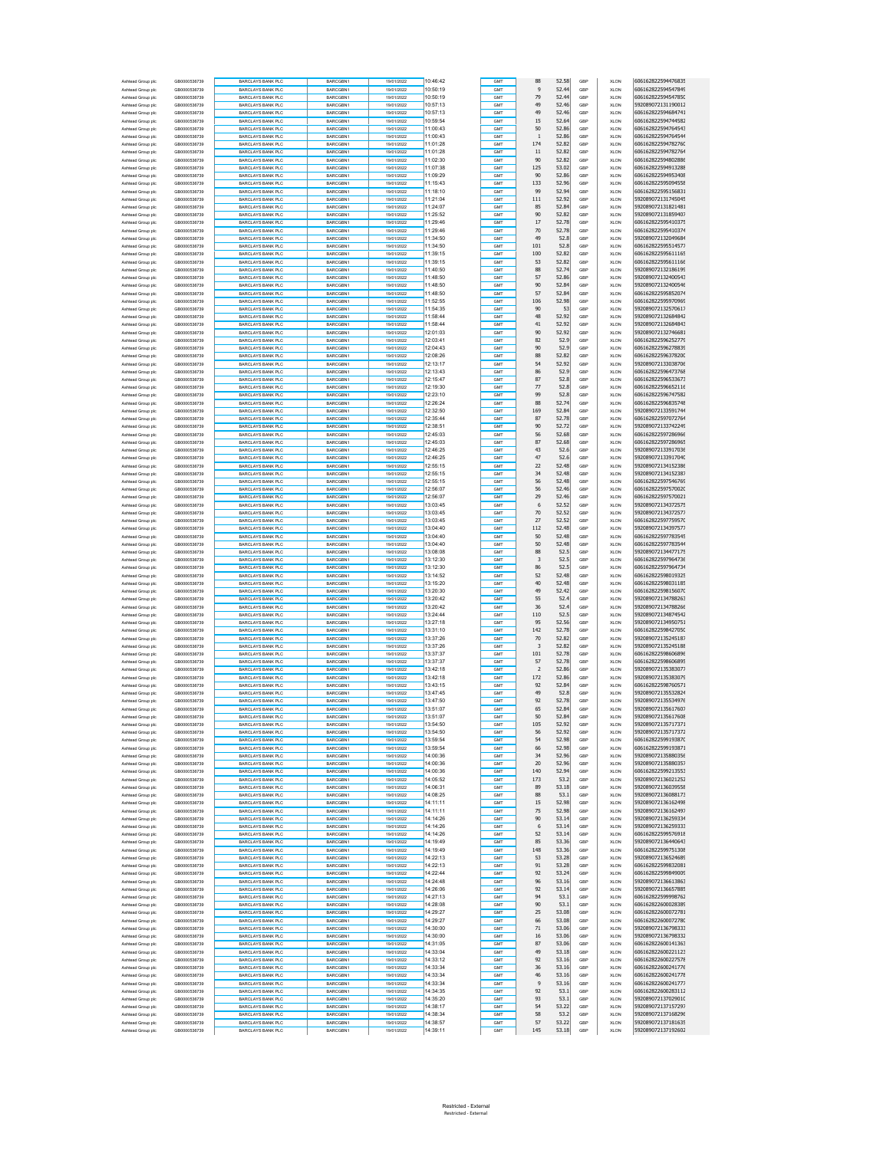| Ashtead Group plo                      | GB0000536739                 | BARCLAYS BANK PLC                                    | BARCGBN1                    | 19/01/2022               | 10:46:42             | GMT        | 88                      | 52.58          | GBP        | <b>XLON</b>                | 606162822594476835                       |
|----------------------------------------|------------------------------|------------------------------------------------------|-----------------------------|--------------------------|----------------------|------------|-------------------------|----------------|------------|----------------------------|------------------------------------------|
| Ashtead Group plc                      | GB0000536739                 | <b>BARCLAYS BANK PLC</b>                             | BARCGBN1                    | 19/01/2022               | 10:50:19             | GMT        | 9                       | 52.44          | GBP        | <b>XLON</b>                | 606162822594547849                       |
| Ashtead Group plc                      | GB0000536739                 | <b>BARCLAYS BANK PLC</b>                             | BARCGBN1                    | 19/01/2022               | 10:50:19             | GMT        | 79                      | 52.44          | GBP        | <b>XLON</b>                | 606162822594547850                       |
| Ashtead Group plc                      | GB0000536739                 | <b>BARCLAYS BANK PLC</b>                             | BARCGBN1                    | 19/01/2022               | 10:57:13             | GMT        | 49                      | 52.46          | GBP        | <b>XLON</b>                | 592089072131190012                       |
| Ashtead Group plc                      | GB0000536739                 | <b>BARCLAYS BANK PLC</b>                             | BARCGBN1                    | 19/01/2022               | 10:57:13             | GMT        | 49                      | 52.46          | GBP        | <b>XLON</b>                | 606162822594684741                       |
| Ashtead Group plc                      | GB0000536739                 | BARCLAYS BANK PLC                                    | BARCGBN1                    | 19/01/2022               | 10:59:54             | GMT        | 15                      | 52.64          | GBP        | <b>XLON</b>                | 606162822594744582                       |
| Ashtead Group plc                      | GB0000536739                 | <b>BARCLAYS BANK PLC</b>                             | BARCGBN1                    | 19/01/2022               | 11:00:43             | GMT        | 50                      | 52.86          | GBP        | <b>XLON</b>                | 606162822594764543                       |
| Ashtead Group plc<br>Ashtead Group plc | GB0000536739<br>GB0000536739 | <b>BARCLAYS BANK PLC</b><br><b>BARCLAYS BANK PLC</b> | BARCGBN1<br>BARCGBN1        | 19/01/2022<br>19/01/2022 | 11:00:43<br>11:01:28 | GMT<br>GMT | $\mathbf{1}$<br>174     | 52.86<br>52.82 | GBP<br>GBP | <b>XLON</b><br><b>XLON</b> | 606162822594764544<br>606162822594782760 |
| Ashtead Group plc                      | GB0000536739                 | <b>BARCLAYS BANK PLC</b>                             | BARCGBN1                    | 19/01/2022               | 11:01:28             | GMT        | $11\,$                  | 52.82          | GBP        | <b>XLON</b>                | 606162822594782764                       |
| Ashtead Group plc                      | GR0000536739                 | BARCLAYS BANK PLC                                    | BARCGBN1                    | 19/01/2022               | 11:02:30             | GMT        | 90                      | 52.82          | GBP        | <b>XLON</b>                | 606162822594802886                       |
| Ashtead Group plc                      | GB0000536739                 | <b>BARCLAYS BANK PLC</b>                             | BARCGBN1                    | 19/01/2022               | 11:07:38             | GMT        | 125                     | 53.02          | GBP        | <b>XLON</b>                | 606162822594913288                       |
| Ashtead Group plc                      | GB0000536739                 | <b>BARCLAYS BANK PLC</b>                             | BARCGBN1                    | 19/01/2022               | 11:09:29             | GMT        | 90                      | 52.86          | GBF        | <b>XLON</b>                | 606162822594953408                       |
| Ashtead Group plc                      | GB0000536739                 | <b>BARCLAYS BANK PLC</b>                             | BARCGBN1                    | 19/01/2022               | 11:15:43             | GMT        | 133                     | 52.96          | GBP        | <b>XLON</b>                | 606162822595094558                       |
| Ashtead Group plc                      | GB0000536739                 | <b>BARCLAYS BANK PLC</b>                             | BARCGBN1                    | 19/01/2022               | 11:18:10             | GMT        | 99                      | 52.94          | GBP        | <b>XLON</b>                | 606162822595156831                       |
| Ashtead Group plc                      | GB0000536739                 | BARCLAYS BANK PLC                                    | BARCGBN1                    | 19/01/2022               | 11:21:04             | GMT        | 111                     | 52.92          | GBP        | <b>XLON</b>                | 592089072131745045                       |
| Ashtead Group plc                      | GB0000536739                 | <b>BARCLAYS BANK PLC</b>                             | BARCGBN1                    | 19/01/2022               | 11:24:07             | GMT        | 85                      | 52.84          | GBP        | <b>XLON</b>                | 592089072131821481                       |
| Ashtead Group plc                      | GB0000536739                 | <b>BARCLAYS BANK PLC</b>                             | BARCGBN1                    | 19/01/2022               | 11:25:52             | GMT        | 90                      | 52.82          | GBP        | <b>XLON</b>                | 592089072131859407                       |
| Ashtead Group plc                      | GB0000536739                 | <b>BARCLAYS BANK PLC</b>                             | BARCGBN1                    | 19/01/2022               | 11:29:46             | GMT        | 17                      | 52.78          | GBP        | <b>XLON</b>                | 606162822595410375                       |
| Ashtead Group plc                      | GB0000536739                 | <b>BARCLAYS BANK PLC</b>                             | BARCGBN1                    | 19/01/2022               | 11:29:46             | GMT        | 70                      | 52.78          | GBP        | <b>XLON</b>                | 606162822595410374                       |
| Ashtead Group plc                      | GR0000536739                 | BARCLAYS BANK PLC                                    | BARCGBN1                    | 19/01/2022               | 11:34:50             | GMT        | 49                      | 52.8           | GBP        | <b>XLON</b>                | 592089072132049684<br>606162822595514577 |
| Ashtead Group plc<br>Ashtead Group plc | GB0000536739<br>GB0000536739 | <b>BARCLAYS BANK PLC</b><br><b>BARCLAYS BANK PLC</b> | BARCGBN1<br>BARCGBN1        | 19/01/2022<br>19/01/2022 | 11:34:50<br>11:39:15 | GMT<br>GMT | 101<br>100              | 52.8<br>52.82  | GBP<br>GBF | <b>XLON</b><br><b>XLON</b> | 606162822595611165                       |
| Ashtead Group plc                      | GB0000536739                 | <b>BARCLAYS BANK PLC</b>                             | BARCGBN1                    | 19/01/2022               | 11:39:15             | GMT        | 53                      | 52.82          | GBP        | <b>XLON</b>                | 606162822595611166                       |
| Ashtead Group plc                      | GB0000536739                 | <b>BARCLAYS BANK PLC</b>                             | BARCGBN1                    | 19/01/2022               | 11:40:50             | GMT        | 88                      | 52.74          | GBP        | <b>XLON</b>                | 592089072132186199                       |
| Ashtead Group plc                      | GB0000536739                 | BARCLAYS BANK PLC                                    | BARCGBN1                    | 19/01/2022               | 11:48:50             | GMT        | 57                      | 52.86          | GBP        | <b>XLON</b>                | 592089072132400543                       |
| Ashtead Group plc                      | GB0000536739                 | <b>BARCLAYS BANK PLC</b>                             | BARCGBN1                    | 19/01/2022               | 11:48:50             | GMT        | 90                      | 52.84          | GBP        | <b>XLON</b>                | 592089072132400546                       |
| Ashtead Group plc                      | GB0000536739                 | <b>BARCLAYS BANK PLC</b>                             | BARCGBN1                    | 19/01/2022               | 11:48:50             | GMT        | 57                      | 52.84          | GBF        | <b>XLON</b>                | 606162822595852074                       |
| Ashtead Group plc                      | GB0000536739                 | <b>BARCLAYS BANK PLC</b>                             | BARCGBN1                    | 19/01/2022               | 11:52:55             | GMT        | 106                     | 52.98          | GBP        | <b>XLON</b>                | 606162822595970969                       |
| Ashtead Group plc                      | GB0000536739                 | <b>BARCLAYS BANK PLC</b>                             | BARCGBN1                    | 19/01/2022               | 11:54:35             | GMT        | 90                      | 53             | GBP        | <b>XLON</b>                | 592089072132570617                       |
| Ashtead Group plc                      | GB0000536739                 | BARCLAYS BANK PLC                                    | BARCGBN1                    | 19/01/2022               | 11:58:44             | GMT        | 48                      | 52.92          | GBP        | <b>XLON</b>                | 592089072132684842                       |
| Ashtead Group plc                      | GB0000536739                 | <b>BARCLAYS BANK PLC</b>                             | BARCGBN1                    | 19/01/2022               | 11:58:44             | GMT        | 41                      | 52.92          | GBP        | <b>XLON</b>                | 592089072132684843                       |
| Ashtead Group plc                      | GB0000536739                 | <b>BARCLAYS BANK PLC</b>                             | BARCGBN1                    | 19/01/2022               | 12:01:03             | GMT        | 90                      | 52.92          | GBF        | <b>XLON</b>                | 592089072132746681                       |
| Ashtead Group plc                      | GB0000536739                 | <b>BARCLAYS BANK PLC</b>                             | BARCGBN1                    | 19/01/2022               | 12:03:41             | GMT        | 82                      | 52.9           | GBP        | <b>XLON</b>                | 606162822596252779                       |
| Ashtead Group plc                      | GB0000536739                 | <b>BARCLAYS BANK PLC</b>                             | BARCGBN1                    | 19/01/2022               | 12:04:43             | GMT        | 90                      | 52.9           | GBP        | <b>XLON</b>                | 606162822596278839<br>606162822596378200 |
| Ashtead Group plc<br>Ashtead Group plc | GB0000536739<br>GB0000536739 | BARCLAYS BANK PLC<br><b>BARCLAYS BANK PLC</b>        | BARCGBN1<br>BARCGBN1        | 19/01/2022<br>19/01/2022 | 12:08:26<br>12:13:17 | GMT<br>GMT | 88<br>54                | 52.82<br>52.92 | GBP<br>GBP | <b>XLON</b><br><b>XLON</b> | 592089072133038706                       |
| Ashtead Group plc                      | GB0000536739                 | <b>BARCLAYS BANK PLC</b>                             | BARCGBN1                    | 19/01/2022               | 12:13:43             | GMT        | 86                      | 52.9           | GBF        | <b>XLON</b>                | 606162822596473768                       |
| Ashtead Group plc                      | GB0000536739                 | <b>BARCLAYS BANK PLC</b>                             | BARCGBN1                    | 19/01/2022               | 12:15:47             | GMT        | 87                      | 52.8           | GBP        | <b>XLON</b>                | 606162822596533673                       |
| Ashtead Group plc                      | GB0000536739                 | <b>BARCLAYS BANK PLC</b>                             | BARCGBN1                    | 19/01/2022               | 12:19:30             | GMT        | 77                      | 52.8           | GBP        | <b>XLON</b>                | 606162822596652116                       |
| Ashtead Group plc                      | GR0000536739                 | BARCLAYS BANK PLC                                    | BARCGBN1                    | 19/01/2022               | 12:23:10             | GMT        | 99                      | 52.8           | GBP        | <b>XLON</b>                | 606162822596747582                       |
| Ashtead Group plc                      | GB0000536739                 | <b>BARCLAYS BANK PLC</b>                             | BARCGBN1                    | 19/01/2022               | 12:26:24             | GMT        | 88                      | 52.74          | GBP        | <b>XLON</b>                | 606162822596835748                       |
| Ashtead Group plc                      | GB0000536739                 | <b>BARCLAYS BANK PLC</b>                             | BARCGBN1                    | 19/01/2022               | 12:32:50             | GMT        | 169                     | 52.84          | GBF        | <b>XLON</b>                | 592089072133591744                       |
| Ashtead Group plc                      | GB0000536739                 | <b>BARCLAYS BANK PLC</b>                             | BARCGBN1                    | 19/01/2022               | 12:35:44             | GMT        | 87                      | 52.78          | GBP        | <b>XLON</b>                | 606162822597072764                       |
| Ashtead Group plc                      | GB0000536739                 | <b>BARCLAYS BANK PLC</b>                             | BARCGBN1                    | 19/01/2022               | 12:38:51             | GMT        | 90                      | 52.72          | GBP        | <b>XLON</b>                | 592089072133742249                       |
| Ashtead Group plc                      | GB0000536739                 | BARCLAYS BANK PLC                                    | BARCGBN1                    | 19/01/2022               | 12:45:03             | GMT        | 56                      | 52.68          | GBP        | <b>XLON</b>                | 606162822597286966                       |
| Ashtead Group plc                      | GB0000536739                 | <b>BARCLAYS BANK PLC</b>                             | BARCGBN1                    | 19/01/2022               | 12:45:03             | GMT        | 87                      | 52.68          | GBP        | <b>XLON</b>                | 606162822597286965                       |
| Ashtead Group plc                      | GB0000536739                 | <b>BARCLAYS BANK PLC</b>                             | BARCGBN1                    | 19/01/2022               | 12:46:25             | GMT        | 43                      | 52.6           | GBF        | <b>XLON</b>                | 592089072133917036<br>592089072133917040 |
| Ashtead Group plc                      | GB0000536739                 | <b>BARCLAYS BANK PLC</b>                             | BARCGBN1                    | 19/01/2022               | 12:46:25             | GMT        | 47                      | 52.6           | GBP        | <b>XLON</b>                |                                          |
| Ashtead Group plc<br>Ashtead Group plc | GB0000536739<br>GR0000536739 | <b>BARCLAYS BANK PLC</b>                             | BARCGBN1<br>BARCGBN1        | 19/01/2022<br>19/01/2022 | 12:55:15<br>12:55:15 | GMT<br>GMT | 22<br>34                | 52.48<br>52.48 | GBP<br>GBP | <b>XLON</b><br><b>XLON</b> | 592089072134152386<br>592089072134152387 |
| Ashtead Group plc                      | GB0000536739                 | BARCLAYS BANK PLC<br><b>BARCLAYS BANK PLC</b>        | BARCGBN1                    | 19/01/2022               | 12:55:15             | GMT        | 56                      | 52.48          | GBP        | <b>XLON</b>                | 606162822597546769                       |
| Ashtead Group plc                      | GB0000536739                 | <b>BARCLAYS BANK PLC</b>                             | BARCGBN1                    | 19/01/2022               | 12:56:07             | GMT        | 56                      | 52.46          | GBF        | <b>XLON</b>                | 606162822597570020                       |
| Ashtead Group plc                      | GB0000536739                 | <b>BARCLAYS BANK PLC</b>                             | BARCGBN1                    | 19/01/2022               | 12:56:07             | GMT        | 29                      | 52.46          | GBP        | <b>XLON</b>                | 606162822597570021                       |
| Ashtead Group plc                      | GB0000536739                 | <b>BARCLAYS BANK PLC</b>                             | BARCGBN1                    | 19/01/2022               | 13:03:45             | GMT        | 6                       | 52.52          | GBP        | <b>XLON</b>                | 592089072134372575                       |
| Ashtead Group plc                      | GB0000536739                 | BARCLAYS BANK PLC                                    | BARCGBN1                    | 19/01/2022               | 13:03:45             | GMT        | 70                      | 52.52          | GBP        | <b>XLON</b>                | 592089072134372577                       |
| Ashtead Group plc                      | GB0000536739                 | <b>BARCLAYS BANK PLC</b>                             | BARCGBN1                    | 19/01/2022               | 13:03:45             | GMT        | 27                      | 52.52          | GBP        | <b>XLON</b>                | 606162822597759570                       |
| Ashtead Group plc                      | GB0000536739                 | BARCLAYS BANK PLC                                    | BARCGBN1                    | 19/01/2022               | 13:04:40             | GMT        | 112                     | 52.48          | GBP        | <b>XLON</b>                | 592089072134397577                       |
| Ashtead Group plc                      | GB0000536739                 | <b>BARCLAYS BANK PLC</b>                             | BARCGBN1                    | 19/01/2022               | 13:04:40             | GMT        | 50                      | 52.48          | GBP        | <b>XLON</b>                | 606162822597783545                       |
| Ashtead Group plc                      | GB0000536739                 | <b>BARCLAYS BANK PLC</b>                             | BARCGBN1                    | 19/01/2022               | 13:04:40             | GMT        | 50                      | 52.48          | GBP        | <b>XLON</b>                | 606162822597783544                       |
| Ashtead Group plc                      | GB0000536739                 | BARCLAYS BANK PLC                                    | BARCGBN1                    | 19/01/2022               | 13:08:08             | GMT        | 88                      | 52.5           | GBP        | <b>XLON</b>                | 592089072134477175                       |
| Ashtead Group plc                      | GB0000536739                 | <b>BARCLAYS BANK PLC</b>                             | BARCGBN1                    | 19/01/2022               | 13:12:30             | GMT        | $\overline{\mathbf{3}}$ | 52.5           | GBP        | <b>XLON</b>                | 606162822597964736                       |
| Ashtead Group plc<br>Ashtead Group plc | GB0000536739<br>GB0000536739 | <b>BARCLAYS BANK PLC</b><br><b>BARCLAYS BANK PLC</b> | BARCGBN1<br>BARCGBN1        | 19/01/2022<br>19/01/2022 | 13:12:30<br>13:14:52 | GMT<br>GMT | 86<br>52                | 52.5<br>52.48  | GBF<br>GBP | <b>XLON</b><br><b>XLON</b> | 606162822597964734<br>606162822598019325 |
| Ashtead Group plc                      | GB0000536739                 | <b>BARCLAYS BANK PLC</b>                             | BARCGBN1                    | 19/01/2022               | 13:15:20             | GMT        | 40                      | 52.48          | GBP        | <b>XLON</b>                | 606162822598031185                       |
| Ashtead Group plc                      | GB0000536739                 | BARCLAYS BANK PLC                                    | BARCGBN1                    | 19/01/2022               | 13:20:30             | GMT        | 49                      | 52.42          | GBP        | <b>XLON</b>                | 606162822598156070                       |
| Ashtead Group plc                      | GB0000536739                 | <b>BARCLAYS BANK PLC</b>                             | BARCGBN1                    | 19/01/2022               | 13:20:42             | GMT        | 55                      | 52.4           | GBP        | <b>XLON</b>                | 592089072134788263                       |
| Ashtead Group plc                      | GB0000536739                 | <b>BARCLAYS BANK PLC</b>                             | BARCGBN1                    | 19/01/2022               | 13:20:42             | GMT        | 36                      | 52.4           | GBF        | <b>XLON</b>                | 592089072134788266                       |
| Ashtead Group plc                      | GB0000536739                 | <b>BARCLAYS BANK PLC</b>                             | BARCGBN1                    | 19/01/2022               | 13:24:44             | GMT        | 110                     | 52.5           | GBP        | <b>XLON</b>                | 592089072134874542                       |
| Ashtead Group plc                      | GB0000536739                 | <b>BARCLAYS BANK PLC</b>                             | BARCGBN1                    | 19/01/2022               | 13:27:18             | GMT        | 95                      | 52.56          | GBP        | <b>XLON</b>                | 592089072134950751                       |
| Ashtead Group plc                      | GB0000536739                 | BARCLAYS BANK PLC                                    | BARCGBN1                    | 19/01/2022               | 13:31:10             | GMT        | 142                     | 52.78          | GBP        | <b>XLON</b>                | 606162822598427050                       |
| Ashtead Group plc                      | GB0000536739                 | <b>BARCLAYS BANK PLC</b>                             | BARCGBN1                    | 19/01/2022               | 13:37:26             | GMT        | 70                      | 52.82          | GBP        | <b>XLON</b>                | 592089072135245187                       |
| Ashtead Group plc                      | GB0000536739                 | <b>BARCLAYS BANK PLC</b>                             | BARCGBN1                    | 19/01/2022               | 13:37:26             | GMT        | 3                       | 52.82          | GBF        | <b>XLON</b>                | 592089072135245188                       |
| Ashtead Group plc                      | GB0000536739                 | <b>BARCLAYS BANK PLC</b>                             | BARCGBN1                    | 19/01/2022               | 13:37:37             | GMT        | 101                     | 52.78          | GBP        | <b>XLON</b>                | 606162822598606896                       |
| Ashtead Group plc                      | GB0000536739<br>GB0000536739 | <b>BARCLAYS BANK PLC</b>                             | BARCGBN1                    | 19/01/2022               | 13:37:37<br>13:42:18 | GMT<br>GMT | 57<br>$\overline{2}$    | 52.78          | GBP        | <b>XLON</b>                | 606162822598606895<br>592089072135383077 |
| Ashtead Group plc<br>Ashtead Group plc | GB0000536739                 | BARCLAYS BANK PLC<br><b>BARCLAYS BANK PLC</b>        | BARCGBN1<br>BARCGBN1        | 19/01/2022<br>19/01/2022 | 13:42:18             | GMT        | 172                     | 52.86<br>52.86 | GBP<br>GBP | <b>XLON</b><br><b>XLON</b> | 592089072135383079                       |
| Ashtead Group plc                      | GB0000536739                 | BARCLAYS BANK PLC                                    | BARCGBN1                    | 19/01/2022               | 13:43:15             | GMT        | 92                      | 52.84          | GBP        | <b>XLON</b>                | 606162822598760571                       |
| Ashtead Group plc                      | GB0000536739                 | <b>BARCLAYS BANK PLC</b>                             | BARCGBN1                    | 19/01/2022               | 13:47:45             | GMT        | 49                      | 52.8           | GBP        | <b>XLON</b>                | 592089072135532824                       |
| Ashtead Group plc                      | GR0000536739                 | <b>BARCLAYS BANK PLC</b>                             | BARCGBN1                    | 19/01/2022               | 13:47:50             | GMT        | 92                      | 52.78          | GBP        | <b>XLON</b>                | 592089072135534976                       |
| Ashtead Group plc                      | GB0000536739                 | <b>BARCLAYS BANK PLC</b>                             | BARCGBN1                    | 19/01/2022               | 13:51:07             | GMT        | 65                      | 52.84          | GBP        | <b>XLON</b>                | 592089072135617607                       |
| Ashtead Group plc                      | GB0000536739                 | <b>BARCLAYS BANK PLC</b>                             | BARCGBN1                    | 19/01/2022               | 13:51:07             | GMT        | 50                      | 52.84          | GBP        | <b>XLON</b>                | 592089072135617608                       |
| Ashtead Group plc                      | GB0000536739                 | BARCLAYS BANK PLC                                    | BARCGBN1                    | 19/01/2022               | 13:54:50             |            | 105                     | 52.92          | GBF        | <b>XLON</b>                | 592089072135717371                       |
| Ashtead Group plc                      | GB0000536739                 | <b>BARCLAYS BANK PLC</b>                             | BARCGBN1                    | 19/01/2022               | 13:54:50             | GMT        | 56                      | 52.92          | GBP        | <b>XLON</b>                | 592089072135717372                       |
| Ashtead Group plc                      | GB0000536739                 | <b>BARCLAYS BANK PLC</b>                             | BARCGBN1                    | 19/01/2022               | 13:59:54             | GMT        | 54                      | 52.98          | GBP        | <b>XLON</b>                | 606162822599193870                       |
| Ashtead Group plc                      | GB0000536739                 | <b>BARCLAYS BANK PLC</b>                             | BARCGBN1                    | 19/01/2022               | 13:59:54             | GMT        | 66                      | 52.98          | GBP        | <b>XLON</b>                | 606162822599193871                       |
| Ashtead Group plc                      | GB0000536739                 | <b>BARCLAYS BANK PLC</b><br><b>BARCLAYS BANK PLC</b> | BARCGBN1                    | 19/01/2022               | 14:00:36             | GMT        | 34                      | 52.96          | GBP        | <b>XLON</b>                | 592089072135880356                       |
| Ashtead Group plc<br>Ashtead Group plc | GB0000536739<br>GB0000536739 | <b>BARCLAYS BANK PLC</b>                             | BARCGBN1<br>BARCGBN1        | 19/01/2022<br>19/01/2022 | 14:00:36<br>14:00:36 | GMT<br>GMT | 20<br>140               | 52.96<br>52.94 | GBF<br>GBP | <b>XLON</b><br><b>XLON</b> | 592089072135880357<br>606162822599213553 |
| Ashtead Group plc                      | GB0000536739                 | <b>BARCLAYS BANK PLC</b>                             | BARCGBN1                    | 19/01/2022               | 14:05:52             | GMT        | 173                     | 53.2           | GBP        | <b>XLON</b>                | 592089072136021252                       |
| Ashtead Group plc                      | GB0000536739                 | <b>BARCLAYS BANK PLC</b>                             | BARCGBN1                    | 19/01/2022               | 14:06:31             | GMT        | 89                      | 53.18          | GBP        | <b>XLON</b>                | 592089072136039558                       |
| Ashtead Group plc                      | GB0000536739                 | <b>BARCLAYS BANK PLC</b>                             | BARCGBN1                    | 19/01/2022               | 14:08:25             | GMT        | 88                      | 53.1           | GBP        | <b>XLON</b>                | 592089072136088173                       |
| Ashtead Group plc                      | GB0000536739                 | <b>BARCLAYS BANK PLC</b>                             | BARCGBN1                    | 19/01/2022               | 14:11:11             | GMT        | 15                      | 52.98          | GBF        | <b>XLON</b>                | 592089072136162498                       |
| Ashtead Group plc                      | GB0000536739                 | <b>BARCLAYS BANK PLC</b>                             | BARCGBN1                    | 19/01/2022               | 14:11:11             | GMT        | 75                      | 52.98          | GBP        | <b>XLON</b>                | 592089072136162497                       |
| Ashtead Group plc                      | GB0000536739                 | <b>BARCLAYS BANK PLC</b>                             | BARCGBN1                    | 19/01/2022               | 14:14:26             | GMT        | 90                      | 53.14          | GBP        | <b>XLON</b>                | 592089072136259334                       |
| Ashtead Group plc                      | GB0000536739                 | BARCLAYS BANK PLC                                    | BARCGBN1                    | 19/01/2022               | 14:14:26             | GMT        | 6                       | 53.14          | GBP        | <b>XLON</b>                | 592089072136259333                       |
| Ashtead Group plc                      | GB0000536739                 | <b>BARCLAYS BANK PLC</b>                             | BARCGBN1                    | 19/01/2022               | 14:14:26             | GMT        | 52                      | 53.14          | GBP        | <b>XLON</b>                | 606162822599576918                       |
| Ashtead Group plc                      | GB0000536739                 | <b>BARCLAYS BANK PLC</b>                             | BARCGBN1                    | 19/01/2022               | 14:19:49             | GMT        | 85                      | 53.36          | GBP        | <b>XLON</b>                | 592089072136440643                       |
| Ashtead Group plc                      | GB0000536739                 | <b>BARCLAYS BANK PLC</b>                             | BARCGBN1                    | 19/01/2022               | 14:19:49             | GMT        | 148                     | 53.36          | GBP        | <b>XLON</b>                | 606162822599751308                       |
| Ashtead Group plc                      | GB0000536739<br>GB0000536739 | <b>BARCLAYS BANK PLC</b>                             | BARCGBN1                    | 19/01/2022               | 14:22:13             | GMT        | 53                      | 53.28          | GBP        | <b>XLON</b>                | 592089072136524689<br>606162822599832081 |
| Ashtead Group plc<br>Ashtead Group plc | GB0000536739                 | <b>BARCLAYS BANK PLC</b><br><b>BARCLAYS BANK PLC</b> | BARCGBN1<br><b>BARCGRN1</b> | 19/01/2022<br>19/01/2022 | 14:22:13<br>14:22:44 | GMT<br>GMT | 91<br>92                | 53.28<br>53.24 | GBP<br>GBP | <b>XLON</b><br><b>XLON</b> | 606162822599849009                       |
| Ashtead Group plc                      | GB0000536739                 | <b>BARCLAYS BANK PLC</b>                             | BARCGBN1                    | 19/01/2022               | 14:24:48             | GMT        | 96                      | 53.16          | GBF        | <b>XLON</b>                | 592089072136613863                       |
| Ashtead Group plc                      | GR0000536739                 | <b>BARCLAYS BANK PLC</b>                             | BARCGBN1                    | 19/01/2022               | 14:26:06             | GMT        | 92                      | 53.14          | GBP        | <b>XLON</b>                | 592089072136657885                       |
| Ashtead Group plc                      | GB0000536739                 | <b>BARCLAYS BANK PLC</b>                             | BARCGBN1                    | 19/01/2022               | 14:27:13             | GMT        | 94                      | 53.1           | GBP        | <b>XLON</b>                | 606162822599998762                       |
| Ashtead Group plc                      | GB0000536739                 | BARCLAYS BANK PLC                                    | BARCGBN1                    | 19/01/2022               | 14:28:08             | GMT        | 90                      | 53.1           | GBP        | <b>XLON</b>                | 606162822600028389                       |
| Ashtead Group plc                      | GB0000536739                 | <b>BARCLAYS BANK PLC</b>                             | BARCGBN1                    | 19/01/2022               | 14:29:27             | GMT        | 25                      | 53.08          | GBP        | <b>XLON</b>                | 606162822600072781                       |
| Ashtead Group plc                      | GB0000536739                 | BARCLAYS BANK PLC                                    | BARCGBN1                    | 19/01/2022               | 14:29:27             | GMT        | 66                      | 53.08          | GBP        | <b>XLON</b>                | 606162822600072780                       |
| Ashtead Group plc                      | GB0000536739                 | <b>BARCLAYS BANK PLC</b>                             | BARCGBN1                    | 19/01/2022               | 14:30:00             | GMT        | 71                      | 53.06          | GBP        | <b>XLON</b>                | 592089072136798333                       |
| Ashtead Group plc                      | GB0000536739                 | <b>BARCLAYS BANK PLC</b>                             | BARCGBN1                    | 19/01/2022               | 14:30:00             | GMT        | $16\,$                  | 53.06          | GBP        | <b>XLON</b>                | 592089072136798332                       |
| Ashtead Group plc                      | GB0000536739                 | <b>BARCLAYS BANK PLC</b>                             | BARCGBN1                    | 19/01/2022               | 14:31:05             | GMT        | 87                      | 53.06          | GBP        | <b>XLON</b>                | 606162822600141363                       |
| Ashtead Group plc                      | GB0000536739                 | <b>BARCLAYS BANK PLC</b>                             | BARCGBN1                    | 19/01/2022               | 14:33:04             | GMT        | 49                      | 53.18          | GBP        | <b>XLON</b>                | 606162822600221123                       |
| Ashtead Group plc                      | GB0000536739                 | BARCLAYS BANK PLC                                    | BARCGBN1                    | 19/01/2022               | 14:33:12<br>14:33:34 | GMT        | 92<br>36                | 53.16          | GBP        | <b>XLON</b>                | 606162822600227578<br>606162822600241776 |
| Ashtead Group plc<br>Ashtead Group plc | GB0000536739<br>GB0000536739 | <b>BARCLAYS BANK PLC</b><br><b>BARCLAYS BANK PLC</b> | BARCGBN1<br>BARCGBN1        | 19/01/2022<br>19/01/2022 | 14:33:34             | GMT<br>GMT | 46                      | 53.16<br>53.16 | GBP<br>GBP | <b>XLON</b><br><b>XLON</b> | 606162822600241778                       |
| Ashtead Group plc                      | GB0000536739                 | BARCLAYS BANK PLC                                    | BARCGBN1                    | 19/01/2022               | 14:33:34             | GMT        | 9                       | 53.16          | GBP        | <b>XLON</b>                | 606162822600241777                       |
| Ashtead Group plc                      | GB0000536739                 | <b>BARCLAYS BANK PLC</b>                             | BARCGBN1                    | 19/01/2022               | 14:34:35             | GMT        | 92                      | 53.1           | GBP        | <b>XLON</b>                | 606162822600283112                       |
| Ashtead Group plc                      | GB0000536739                 | BARCLAYS BANK PLC                                    | BARCGBN1                    | 19/01/2022               | 14:35:20             | GMT        | 93                      | 53.1           | GBP        | <b>XLON</b>                | 592089072137029010                       |
| Ashtead Group plc                      | GB0000536739                 | <b>BARCLAYS BANK PLC</b>                             | BARCGBN1                    | 19/01/2022               | 14:38:17             | GMT        | 54                      | 53.22          | GBP        | <b>XLON</b>                | 592089072137157297                       |
| Ashtead Group plc                      | GB0000536739                 | <b>BARCLAYS BANK PLC</b>                             | BARCGBN1                    | 19/01/2022               | 14:38:34             | GMT        | 58                      | 53.2           | GBP        | <b>XLON</b>                | 592089072137168296                       |
| Ashtead Group plo                      | GB0000536739                 | <b>BARCLAYS BANK PLC</b>                             | BARCGBN1                    | 19/01/2022               | 14:38:57             | GMT        | 57                      | 53.22          | GBP        | <b>XLON</b>                | 592089072137181635                       |
| Ashtead Group plc                      | GB0000536739                 | <b>BARCLAYS BANK PLC</b>                             | BARCGBN1                    | 19/01/2022               | 14:39:11             | GMT        | 145                     | 53.18          | GBP        | <b>XLON</b>                | 592089072137192602                       |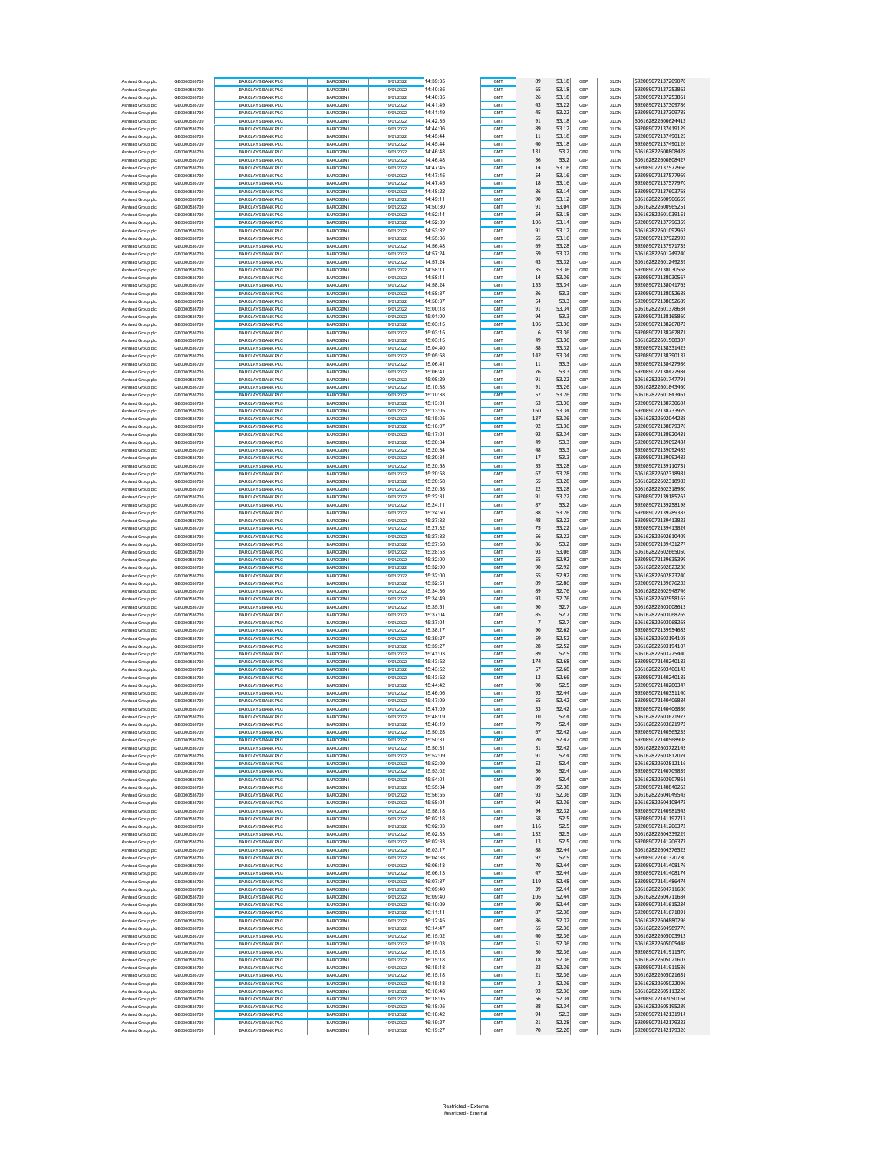| Ashtead Group plo                      | GB0000536739                 | <b>BARCLAYS BANK PLC</b>                             | <b>BARCGBN1</b>             | 19/01/2022               | 14:39:35             | GMT        | 89             | 53.18          | GBP        | XLON                       | 592089072137209078                       |
|----------------------------------------|------------------------------|------------------------------------------------------|-----------------------------|--------------------------|----------------------|------------|----------------|----------------|------------|----------------------------|------------------------------------------|
| Ashtead Group plc                      | GB0000536739                 | <b>BARCLAYS BANK PLC</b>                             | BARCGBN1                    | 19/01/2022               | 14:40:35             | GMT        | 65             | 53.18          | GBP        | <b>XLON</b>                | 592089072137253862                       |
| Ashtead Group plc                      | GB0000536739                 | <b>BARCLAYS BANK PLC</b>                             | BARCGBN1                    | 19/01/2022               | 14:40:35             | GMT        | 26             | 53.18          | GBF        | <b>XLON</b>                | 592089072137253861                       |
| Ashtead Group plc                      | GB0000536739                 | <b>BARCLAYS BANK PLC</b>                             | BARCGBN1                    | 19/01/2022               | 14:41:49             | GMT        | 43             | 53.22          | GBP        | <b>XLON</b>                | 592089072137309786                       |
| Ashtead Group plc                      | GB0000536739                 | BARCLAYS BANK PLC                                    | BARCGBN1                    | 19/01/2022               | 14:41:49             | GMT        | 45             | 53.22          | GBP        | XLON                       | 592089072137309785                       |
| Ashtead Group plo                      | GB0000536739                 | <b>BARCLAYS BANK PLC</b>                             | BARCGBN1                    | 19/01/2022               | 14:42:35             | GMT        | 91             | 53.18          | GBP        | XLON                       | 606162822600624412                       |
| Ashtead Group plc                      | GB0000536739                 | <b>BARCLAYS BANK PLC</b>                             | BARCGBN1                    | 19/01/2022               | 14:44:06             | GMT        | 89             | 53.12          | GBP        | <b>XLON</b>                | 592089072137419129                       |
| Ashtead Group plc                      | GB0000536739                 | <b>BARCLAYS BANK PLC</b>                             | BARCGBN1                    | 19/01/2022               | 14:45:44             | GMT        | 11             | 53.18          | GBF        | <b>XLON</b>                | 592089072137490125                       |
| Ashtead Group plc                      | GB0000536739<br>GB0000536739 | <b>BARCLAYS BANK PLC</b>                             | BARCGBN1                    | 19/01/2022               | 14:45:44<br>14:46:48 | GMT        | 40             | 53.18          | GBP<br>GBF | <b>XLON</b>                | 592089072137490126                       |
| Ashtead Group plc                      | GR0000536739                 | <b>BARCLAYS BANK PLC</b><br><b>BARCLAYS BANK PLC</b> | BARCGBN1<br>BARCGBN1        | 19/01/2022<br>19/01/2022 | 14:46:48             | GMT<br>GMT | 131<br>56      | 53.2<br>53.2   | GBP        | XLON<br><b>XLON</b>        | 606162822600808428<br>606162822600808427 |
| Ashtead Group plc<br>Ashtead Group plc | GB0000536739                 | BARCLAYS BANK PLC                                    | BARCGBN1                    | 19/01/2022               | 14:47:45             | GMT        | 14             | 53.16          | GBP        | <b>XLON</b>                | 592089072137577966                       |
| Ashtead Group plc                      | GB0000536739                 | <b>BARCLAYS BANK PLC</b>                             | BARCGBN1                    | 19/01/2022               | 14:47:45             | GMT        | 54             | 53.16          | GBF        | <b>XLON</b>                | 592089072137577969                       |
| Ashtead Group plc                      | GB0000536739                 | <b>BARCLAYS BANK PLC</b>                             | BARCGBN1                    | 19/01/2022               | 14:47:45             | GMT        | 18             | 53.16          | GBP        | <b>XLON</b>                | 592089072137577970                       |
| Ashtead Group plc                      | GB0000536739                 | <b>BARCLAYS BANK PLC</b>                             | BARCGBN1                    | 19/01/2022               | 14:48:22             | GMT        | 86             | 53.14          | GBP        | XLON                       | 592089072137603768                       |
| Ashtead Group plc                      | GB0000536739                 | <b>BARCLAYS BANK PLC</b>                             | BARCGBN1                    | 19/01/2022               | 14:49:11             | GMT        | 90             | 53.12          | GBP        | XLON                       | 606162822600906659                       |
| Ashtead Group plc                      | GB0000536739                 | <b>BARCLAYS BANK PLC</b>                             | BARCGBN1                    | 19/01/2022               | 14:50:30             | GMT        | 91             | 53.04          | GBP        | <b>XLON</b>                | 606162822600965251                       |
| Ashtead Group plc                      | GB0000536739                 | <b>BARCLAYS BANK PLC</b>                             | <b>BARCGBN1</b>             | 19/01/2022               | 14:52:14             | GMT        | 54             | 53.18          | GBF        | <b>XLON</b>                | 606162822601039151                       |
| Ashtead Group plc                      | GB0000536739                 | <b>BARCLAYS BANK PLC</b>                             | BARCGBN1                    | 19/01/2022               | 14:52:39             | GMT        | 106            | 53.14          | GBP        | <b>XLON</b>                | 592089072137796359                       |
| Ashtead Group plc                      | GB0000536739                 | <b>BARCLAYS BANK PLC</b>                             | BARCGBN1                    | 19/01/2022               | 14:53:32             | GMT        | 91             | 53.12          | GBF        | XLON                       | 606162822601092963                       |
| Ashtead Group plc                      | GB0000536739                 | <b>BARCLAYS BANK PLC</b>                             | BARCGBN1                    | 19/01/2022               | 14:55:36             | GMT        | 55             | 53.16          | GBP        | <b>XLON</b>                | 592089072137922992                       |
| Ashtead Group plc                      | GB0000536739                 | <b>BARCLAYS BANK PLC</b>                             | <b>BARCGRN1</b>             | 19/01/2022               | 14:56:48             | GMT        | 69             | 53.28          | GBP        | <b>XLON</b>                | 592089072137971735                       |
| Ashtead Group plc                      | GB0000536739<br>GB0000536739 | <b>BARCLAYS BANK PLC</b><br><b>BARCLAYS BANK PLC</b> | BARCGBN1<br>BARCGBN1        | 19/01/2022<br>19/01/2022 | 14:57:24<br>14:57:24 | GMT<br>GMT | 59<br>43       | 53.32<br>53.32 | GBF<br>GBP | <b>XLON</b><br><b>XLON</b> | 606162822601249240<br>606162822601249239 |
| Ashtead Group plc                      | GB0000536739                 | <b>BARCLAYS BANK PLC</b>                             | BARCGBN1                    | 19/01/2022               | 14:58:11             | GMT        | 35             | 53.36          | GBP        | XLON                       | 592089072138030568                       |
| Ashtead Group plc<br>Ashtead Group plc | GB0000536739                 | <b>BARCLAYS BANK PLC</b>                             | BARCGBN1                    | 19/01/2022               | 14:58:11             | GMT        | 14             | 53.36          | GBP        | XLON                       | 592089072138030567                       |
| Ashtead Group plc                      | GB0000536739                 | <b>BARCLAYS BANK PLC</b>                             | BARCGBN1                    | 19/01/2022               | 14:58:24             | GMT        | 153            | 53.34          | GBP        | <b>XLON</b>                | 592089072138041765                       |
| Ashtead Group plc                      | GB0000536739                 | <b>BARCLAYS BANK PLC</b>                             | <b>BARCGBN1</b>             | 19/01/2022               | 14:58:37             | GMT        | 36             | 53.3           | GBF        | <b>XLON</b>                | 592089072138052688                       |
| Ashtead Group plc                      | GB0000536739                 | <b>BARCLAYS BANK PLC</b>                             | BARCGBN1                    | 19/01/2022               | 14:58:37             | GMT        | 54             | 53.3           | GBP        | <b>XLON</b>                | 592089072138052689                       |
| Ashtead Group plc                      | GB0000536739                 | <b>BARCLAYS BANK PLC</b>                             | BARCGBN1                    | 19/01/2022               | 15:00:18             | GMT        | 91             | 53.34          | GBF        | XLON                       | 606162822601378634                       |
| Ashtead Group plc                      | GR0000536739                 | <b>BARCLAYS BANK PLC</b>                             | BARCGBN1                    | 19/01/2022               | 15:01:00             | GMT        | 94             | 53.3           | GBP        | <b>XLON</b>                | 592089072138165860                       |
| Ashtead Group plc                      | GB0000536739                 | <b>BARCLAYS BANK PLC</b>                             | BARCGBN1                    | 19/01/2022               | 15:03:15             | GMT        | 106            | 53.36          | GBP        | <b>XLON</b>                | 592089072138267872                       |
| Ashtead Group plc                      | GB0000536739                 | <b>BARCLAYS BANK PLC</b>                             | BARCGBN1                    | 19/01/2022               | 15:03:15             | GMT        | 6              | 53.36          | GBF        | <b>XLON</b>                | 592089072138267871                       |
| Ashtead Group plc                      | GB0000536739                 | <b>BARCLAYS BANK PLC</b>                             | BARCGBN1                    | 19/01/2022               | 15:03:15             | GMT        | 49             | 53.36          | GBP        | <b>XLON</b>                | 606162822601508307                       |
| Ashtead Group plc                      | GB0000536739                 | <b>BARCLAYS BANK PLC</b>                             | BARCGBN1                    | 19/01/2022               | 15:04:40             | GMT        | 88             | 53.32          | GBP        | XLON                       | 592089072138331425                       |
| Ashtead Group plc                      | GB0000536739                 | <b>BARCLAYS BANK PLC</b>                             | BARCGBN1                    | 19/01/2022               | 15:05:58             | GMT        | 142            | 53.34          | GBP        | XLON                       | 592089072138390137                       |
| Ashtead Group plc                      | GB0000536739                 | <b>BARCLAYS BANK PLC</b>                             | BARCGBN1<br>BARCGBN1        | 19/01/2022               | 15:06:41             | GMT        | 11             | 53.3           | GBP        | <b>XLON</b>                | 592089072138427986                       |
| Ashtead Group plc<br>Ashtead Group plc | GB0000536739<br>GB0000536739 | <b>BARCLAYS BANK PLC</b><br><b>BARCLAYS BANK PLC</b> | BARCGBN1                    | 19/01/2022<br>19/01/2022 | 15:06:41<br>15:08:29 | GMT<br>GMT | 76<br>91       | 53.3<br>53.22  | GBF<br>GBP | <b>XLON</b><br><b>XLON</b> | 592089072138427984<br>606162822601747791 |
| Ashtead Group plc                      | GB0000536739                 | <b>BARCLAYS BANK PLC</b>                             | BARCGBN1                    | 19/01/2022               | 15:10:38             | GMT        | 91             | 53.26          | GBF        | XLON                       | 606162822601843460                       |
| Ashtead Group plc                      | GB0000536739                 | <b>BARCLAYS BANK PLC</b>                             | BARCGBN1                    | 19/01/2022               | 15:10:38             | GMT        | 57             | 53.26          | GBP        | <b>XLON</b>                | 606162822601843461                       |
| Ashtead Group plc                      | GR0000536739                 | <b>BARCLAYS BANK PLC</b>                             | <b>BARCGRN1</b>             | 19/01/2022               | 15:13:01             | GMT        | 63             | 53.36          | GBP        | <b>XLON</b>                | 592089072138730604                       |
| Ashtead Group plc                      | GB0000536739                 | <b>BARCLAYS BANK PLC</b>                             | BARCGBN1                    | 19/01/2022               | 15:13:05             | GMT        | 160            | 53.34          | GBF        | <b>XLON</b>                | 592089072138733979                       |
| Ashtead Group plc                      | GB0000536739                 | <b>BARCLAYS BANK PLC</b>                             | BARCGBN1                    | 19/01/2022               | 15:15:05             | GMT        | 137            | 53.36          | GBP        | <b>XLON</b>                | 606162822602044288                       |
| Ashtead Group plc                      | GB0000536739                 | <b>BARCLAYS BANK PLC</b>                             | <b>BARCGRN1</b>             | 19/01/2022               | 15:16:07             | GMT        | 92             | 53.36          | GBP        | XLON                       | 592089072138879376                       |
| Ashtead Group plc                      | GB0000536739                 | <b>BARCLAYS BANK PLC</b>                             | BARCGBN1                    | 19/01/2022               | 15:17:01             | GMT        | 92             | 53.34          | GBP        | XLON                       | 592089072138920431                       |
| Ashtead Group plc                      | GB0000536739                 | <b>BARCLAYS BANK PLC</b>                             | BARCGBN1                    | 19/01/2022               | 15:20:34             | GMT        | 49             | 53.3           | GBP        | <b>XLON</b>                | 592089072139092484                       |
| Ashtead Group plc                      | GB0000536739                 | <b>BARCLAYS BANK PLC</b>                             | BARCGBN1                    | 19/01/2022               | 15:20:34             | GMT        | 48             | 53.3           | GBF        | <b>XLON</b>                | 592089072139092485                       |
| Ashtead Group plc                      | GB0000536739                 | <b>BARCLAYS BANK PLC</b>                             | BARCGBN1                    | 19/01/2022               | 15:20:34             | GMT        | 17             | 53.3           | GBP        | <b>XLON</b>                | 592089072139092482                       |
| Ashtead Group plc                      | GB0000536739                 | <b>BARCLAYS BANK PLC</b>                             | BARCGBN1                    | 19/01/2022               | 15:20:58             | GMT        | 55             | 53.28          | GBF        | XLON                       | 592089072139110731                       |
| Ashtead Group plc                      | GR0000536739                 | <b>BARCLAYS BANK PLC</b><br>BARCLAYS BANK PLC        | BARCGBN1                    | 19/01/2022               | 15:20:58<br>15:20:58 | GMT        | 67<br>55       | 53.28<br>53.28 | GBP        | <b>XLON</b>                | 606162822602318981<br>606162822602318982 |
| Ashtead Group plc<br>Ashtead Group plc | GB0000536739<br>GB0000536739 | <b>BARCLAYS BANK PLC</b>                             | BARCGBN1<br>BARCGBN1        | 19/01/2022<br>19/01/2022 | 15:20:58             | GMT<br>GMT | 22             | 53.28          | GBP<br>GBF | <b>XLON</b><br><b>XLON</b> | 606162822602318980                       |
| Ashtead Group plc                      | GB0000536739                 | <b>BARCLAYS BANK PLC</b>                             | BARCGBN1                    | 19/01/2022               | 15:22:31             | GMT        | 91             | 53.22          | GBP        | <b>XLON</b>                | 592089072139185263                       |
| Ashtead Group plc                      | GB0000536739                 | <b>BARCLAYS BANK PLC</b>                             | BARCGBN1                    | 19/01/2022               | 15:24:11             | GMT        | 87             | 53.2           | GBP        | XLON                       | 592089072139258198                       |
| Ashtead Group plc                      | GB0000536739                 | <b>BARCLAYS BANK PLC</b>                             | BARCGBN1                    | 19/01/2022               | 15:24:50             | GMT        | 88             | 53.26          | GBP        | XLON                       | 592089072139289382                       |
| Ashtead Group plc                      | GB0000536739                 | <b>BARCLAYS BANK PLC</b>                             | BARCGBN1                    | 19/01/2022               | 15:27:32             | GMT        | 48             | 53.22          | GBP        | <b>XLON</b>                | 592089072139413823                       |
| Ashtead Group plc                      | GB0000536739                 | <b>BARCLAYS BANK PLC</b>                             | <b>BARCGBN1</b>             | 19/01/2022               | 15:27:32             | GMT        | 75             | 53.22          | GBF        | <b>XLON</b>                | 592089072139413824                       |
| Ashtead Group plc                      | GB0000536739                 | <b>BARCLAYS BANK PLC</b>                             | BARCGBN1                    | 19/01/2022               | 15:27:32             | GMT        | 56             | 53.22          | GBP        | <b>XLON</b>                | 606162822602610409                       |
| Ashtead Group plc                      | GB0000536739                 | <b>BARCLAYS BANK PLC</b>                             | BARCGBN1                    | 19/01/2022               | 15:27:58             | GMT        | 86             | 53.2           | GBF        | XLON                       | 592089072139431277                       |
| Ashtead Group plc                      | GB0000536739                 | <b>BARCLAYS BANK PLC</b>                             | BARCGBN1                    | 19/01/2022               | 15:28:53             | GMT        | 93             | 53.06          | GBP        | <b>XLON</b>                | 606162822602665050                       |
| Ashtead Group plc                      | GB0000536739                 | <b>BARCLAYS BANK PLC</b>                             | BARCGBN1                    | 19/01/2022               | 15:32:00             | GMT        | 55             | 52.92          | GBP        | <b>XLON</b>                | 592089072139635399                       |
| Ashtead Group plc                      | GB0000536739                 | <b>BARCLAYS BANK PLC</b>                             | BARCGBN1                    | 19/01/2022               | 15:32:00             | GMT        | 90             | 52.92          | GBF        | <b>XLON</b>                | 606162822602823238                       |
| Ashtead Group plc                      | GB0000536739                 | <b>BARCLAYS BANK PLC</b>                             | BARCGBN1                    | 19/01/2022               | 15:32:00             | GMT        | 55             | 52.92          | GBP        | <b>XLON</b>                | 606162822602823240                       |
| Ashtead Group plc                      | GB0000536739<br>GB0000536739 | <b>BARCLAYS BANK PLC</b>                             | BARCGBN1                    | 19/01/2022               | 15:32:51             | GMT        | 89             | 52.86          | GBP        | XLON                       | 592089072139676232<br>606162822602948746 |
| Ashtead Group plc<br>Ashtead Group plc | GB0000536739                 | <b>BARCLAYS BANK PLC</b><br><b>BARCLAYS BANK PLC</b> | BARCGBN1<br>BARCGBN1        | 19/01/2022<br>19/01/2022 | 15:34:36<br>15:34:49 | GMT<br>GMT | 89<br>93       | 52.76<br>52.76 | GBP<br>GBP | XLON<br><b>XLON</b>        | 606162822602958165                       |
| Ashtead Group plc                      | GB0000536739                 | <b>BARCLAYS BANK PLC</b>                             | <b>BARCGBN1</b>             | 19/01/2022               | 15:35:51             | GMT        | 90             | 52.7           | GBF        | <b>XLON</b>                | 606162822603008615                       |
| Ashtead Group plc                      | GB0000536739                 | <b>BARCLAYS BANK PLC</b>                             | BARCGBN1                    | 19/01/2022               | 15:37:04             | GMT        | 85             | 52.7           | GBP        | <b>XLON</b>                | 606162822603068269                       |
| Ashtead Group plc                      | GB0000536739                 | <b>BARCLAYS BANK PLC</b>                             | BARCGBN1                    | 19/01/2022               | 15:37:04             | GMT        | $\overline{7}$ | 52.7           | GBF        | XLON                       | 606162822603068268                       |
| Ashtead Group plc                      | GR0000536739                 | <b>BARCLAYS BANK PLC</b>                             | BARCGBN1                    | 19/01/2022               | 15:38:17             | GMT        | 90             | 52.62          | GBP        | <b>XLON</b>                | 592089072139954683                       |
| Ashtead Group plc                      | GR0000536739                 | <b>BARCLAYS BANK PLC</b>                             | <b>BARCGRN1</b>             | 19/01/2022               | 15:39:27             | GMT        | 59             | 52.52          | GBP        | <b>XLON</b>                | 606162822603194108                       |
| Ashtead Group plc                      | GB0000536739                 | <b>BARCLAYS BANK PLC</b>                             | BARCGBN1                    | 19/01/2022               | 15:39:27             | GMT        | 28             | 52.52          | GBF        | <b>XLON</b>                | 606162822603194107                       |
| Ashtead Group plc                      | GB0000536739                 | <b>BARCLAYS BANK PLC</b>                             | BARCGBN1                    | 19/01/2022               | 15:41:03             | GMT        | 89             | 52.5           | GBP        | <b>XLON</b>                | 606162822603275440                       |
| Ashtead Group plc                      | GB0000536739                 | <b>BARCLAYS BANK PLC</b>                             | BARCGBN1                    | 19/01/2022               | 15:43:52             | GMT        | 174            | 52.68          | GBP        | XLON                       | 592089072140240182                       |
| Ashtead Group plc                      | GB0000536739                 | <b>BARCLAYS BANK PLC</b>                             | BARCGBN1                    | 19/01/2022               | 15:43:52             | GMT        | 57             | 52.68          | GBP        | XLON                       | 606162822603406142                       |
| Ashtead Group plc                      | GR0000536739                 | <b>BARCLAYS BANK PLC</b>                             | BARCGBN1                    | 19/01/2022               | 15:43:52             | GMT        | 13             | 52.66          | GBP        | <b>XLON</b>                | 592089072140240185                       |
| Ashtead Group plc<br>Ashtead Group plc | GB0000536739<br>GB0000536739 | <b>BARCLAYS BANK PLC</b><br><b>BARCLAYS BANK PLC</b> | <b>BARCGBN1</b><br>BARCGBN1 | 19/01/2022<br>19/01/2022 | 15:44:42<br>15:46:06 | GMT<br>GMT | 90<br>93       | 52.5<br>52.44  | GBF<br>GBP | <b>XLON</b><br><b>XLON</b> | 592089072140280347<br>592089072140351140 |
|                                        | GB0000536739                 | <b>BARCLAYS BANK PLC</b>                             | BARCGBN1                    | 19/01/2022               | 15:47:09             | <b>GMT</b> | 55             | 52.42          | GBF        | <b>XLON</b>                | 592089072140406884                       |
| Ashtead Group plc<br>Ashtead Group plc | GB0000536739                 | <b>BARCLAYS BANK PLC</b>                             | BARCGBN1                    | 19/01/2022               | 15:47:09             | GMT        | 33             | 52.42          | GBP        | <b>XLON</b>                | 592089072140406886                       |
| Ashtead Group plc                      | GB0000536739                 | <b>BARCLAYS BANK PLC</b>                             | BARCGBN1                    | 19/01/2022               | 15:48:19             | GMT        | 10             | 52.4           | GBP        | <b>XLON</b>                | 606162822603621973                       |
| Ashtead Group plc                      | GB0000536739                 | BARCLAYS BANK PLO                                    | BARCGBN1                    | 9/01/2022                | 15:48:19             |            | 79             | 52.4           | GBF        | <b>XLON</b>                | 606162822603621972                       |
| Ashtead Group plc                      | GR0000536739                 | <b>BARCLAYS BANK PLC</b>                             | BARCGBN1                    | 19/01/2022               | 15:50:28             | GMT        | 67             | 52.42          | GBP        | <b>XLON</b>                | 592089072140565235                       |
| Ashtead Group plc                      | GB0000536739                 | <b>BARCLAYS BANK PLC</b>                             | BARCGBN1                    | 19/01/2022               | 15:50:31             | <b>GMT</b> | $20\,$         | 52.42          | GBP        | XLON                       | 592089072140568908                       |
| Ashtead Group plc                      | GR0000536739                 | <b>BARCLAYS BANK PLC</b>                             | BARCGBN1                    | 19/01/2022               | 15:50:31             | GMT        | 51             | 52.42          | GBP        | XLON                       | 606162822603722145                       |
| Ashtead Group plc                      | GB0000536739                 | <b>BARCLAYS BANK PLC</b>                             | BARCGBN1                    | 19/01/2022               | 15:52:09             | GMT        | 91             | 52.4           | GBP        | <b>XLON</b>                | 606162822603812074                       |
| Ashtead Group plc                      | GB0000536739                 | <b>BARCLAYS BANK PLC</b>                             | BARCGBN1                    | 19/01/2022               | 15:52:09             | GMT        | 53             | 52.4           | GBF        | <b>XLON</b>                | 606162822603812116                       |
| Ashtead Group plc                      | GB0000536739                 | <b>BARCLAYS BANK PLC</b>                             | BARCGBN1                    | 19/01/2022               | 15:53:02             | GMT        | 56             | 52.4           | GBP        | <b>XLON</b>                | 592089072140709839                       |
| Ashtead Group plc                      | GB0000536739<br>GR0000536739 | <b>BARCLAYS BANK PLC</b><br><b>BARCLAYS BANK PLC</b> | BARCGBN1<br>BARCGBN1        | 19/01/2022               | 15:54:01<br>15:55:34 | GMT<br>GMT | 90<br>89       | 52.4<br>52.38  | GBP<br>GBP | XLON<br>XLON               | 606162822603907861<br>592089072140840262 |
| Ashtead Group plc<br>Ashtead Group plc | GB0000536739                 | <b>BARCLAYS BANK PLC</b>                             | BARCGBN1                    | 19/01/2022<br>19/01/2022 | 15:56:55             | GMT        | 93             | 52.36          | GBP        | <b>XLON</b>                | 606162822604049542                       |
| Ashtead Group plc                      | GB0000536739                 | <b>BARCLAYS BANK PLC</b>                             | BARCGBN1                    | 19/01/2022               | 15:58:04             | GMT        | 94             | 52.36          | GBF        | <b>XLON</b>                | 606162822604108472                       |
| Ashtead Group plc                      | GR0000536739                 | <b>BARCLAYS BANK PLC</b>                             | BARCGBN1                    | 19/01/2022               | 15:58:18             | GMT        | 94             | 52.32          | GBP        | <b>XLON</b>                | 592089072140981542                       |
| Ashtead Group plc                      | GB0000536739                 | <b>BARCLAYS BANK PLC</b>                             | BARCGBN1                    | 19/01/2022               | 16:02:18             | GMT        | 58             | 52.5           | GBP        | XLON                       | 592089072141192717                       |
| Ashtead Group plc                      | GB0000536739                 | <b>BARCLAYS BANK PLC</b>                             | BARCGBN1                    | 19/01/2022               | 16:02:33             | GMT        | 116            | 52.5           | GBP        | XLON                       | 592089072141206372                       |
| Ashtead Group plc                      | GR0000536739                 | <b>BARCLAYS BANK PLC</b>                             | BARCGBN1                    | 19/01/2022               | 16:02:33             | GMT        | 132            | 52.5           | GBP        | <b>XLON</b>                | 606162822604339229                       |
| Ashtead Group plc                      | GB0000536739                 | <b>BARCLAYS BANK PLC</b>                             | BARCGBN1                    | 19/01/2022               | 16:02:33             | GMT        | 13             | 52.5           | GBF        | <b>XLON</b>                | 592089072141206377                       |
| Ashtead Group plc                      | GB0000536739                 | <b>BARCLAYS BANK PLC</b>                             | BARCGBN1                    | 19/01/2022               | 16:03:17             | GMT        | 88             | 52.44          | GBP        | <b>XLON</b>                | 606162822604376523                       |
| Ashtead Group plc                      | GB0000536739                 | <b>BARCLAYS BANK PLC</b>                             | BARCGBN1                    | 19/01/2022               | 16:04:38             | GMT        | 92             | 52.5           | GBP        | XLON                       | 592089072141320730                       |
| Ashtead Group plc                      | GR0000536739                 | <b>BARCLAYS BANK PLC</b>                             | BARCGBN1                    | 19/01/2022               | 16:06:13             | GMT        | 70<br>47       | 52.44          | GBP        | XLON                       | 592089072141408176                       |
| Ashtead Group plc<br>Ashtead Group plc | GB0000536739<br>GB0000536739 | <b>BARCLAYS BANK PLC</b><br><b>BARCLAYS BANK PLC</b> | BARCGBN1<br>BARCGBN1        | 19/01/2022<br>19/01/2022 | 16:06:13<br>16:07:37 | GMT<br>GMT | 119            | 52.44<br>52.48 | GBP<br>GBF | <b>XLON</b><br><b>XLON</b> | 592089072141408174<br>592089072141486474 |
| Ashtead Group plc                      | GB0000536739                 | <b>BARCLAYS BANK PLC</b>                             | BARCGBN1                    | 19/01/2022               | 16:09:40             | GMT        | 39             | 52.44          | GBP        | <b>XLON</b>                | 606162822604711686                       |
| Ashtead Group plc                      | GB0000536739                 | <b>BARCLAYS BANK PLC</b>                             | BARCGBN1                    | 19/01/2022               | 16:09:40             | GMT        | 106            | 52.44          | GBP        | XLON                       | 606162822604711684                       |
| Ashtead Group plc                      | GB0000536739                 | <b>BARCLAYS BANK PLC</b>                             | BARCGBN1                    | 19/01/2022               | 16:10:09             | GMT        | 90             | 52.44          | GBP        | XLON                       | 592089072141615234                       |
| Ashtead Group plc                      | GB0000536739                 | <b>BARCLAYS BANK PLC</b>                             | BARCGBN1                    | 19/01/2022               | 16:11:11             | GMT        | 87             | 52.38          | GBP        | <b>XLON</b>                | 592089072141671891                       |
| Ashtead Group plc                      | GB0000536739                 | <b>BARCLAYS BANK PLC</b>                             | BARCGBN1                    | 19/01/2022               | 16:12:45             | GMT        | 86             | 52.32          | GBF        | <b>XLON</b>                | 606162822604880296                       |
| Ashtead Group plc                      | GB0000536739                 | <b>BARCLAYS BANK PLC</b>                             | BARCGBN1                    | 19/01/2022               | 16:14:47             | GMT        | 65             | 52.36          | GBP        | <b>XLON</b>                | 606162822604989776                       |
| Ashtead Group plc                      | GB0000536739                 | <b>BARCLAYS BANK PLC</b>                             | BARCGBN1                    | 19/01/2022               | 16:15:02             | GMT        | 40             | 52.36          | GBP        | XLON                       | 606162822605003912                       |
| Ashtead Group plc                      | GB0000536739                 | <b>BARCLAYS BANK PLC</b>                             | BARCGBN1                    | 19/01/2022               | 16:15:03             | GMT        | 51             | 52.36          | GBP        | XLON                       | 606162822605005448                       |
| Ashtead Group plc                      | GB0000536739                 | <b>BARCLAYS BANK PLC</b>                             | BARCGBN1                    | 19/01/2022               | 16:15:18             | GMT        | 50             | 52.36          | GBP        | <b>XLON</b>                | 592089072141911570                       |
| Ashtead Group plc                      | GB0000536739                 | <b>BARCLAYS BANK PLC</b>                             | BARCGBN1                    | 19/01/2022               | 16:15:18             | GMT        | 18<br>23       | 52.36          | GBF        | <b>XLON</b>                | 606162822605021607                       |
| Ashtead Group plc                      | GB0000536739                 | <b>BARCLAYS BANK PLC</b><br><b>BARCLAYS BANK PLC</b> | BARCGBN1                    | 19/01/2022               | 16:15:18<br>16:15:18 | GMT        | $21\,$         | 52.36<br>52.36 | GBP<br>GBP | <b>XLON</b>                | 592089072141911586<br>606162822605021631 |
| Ashtead Group plc<br>Ashtead Group plc | GB0000536739<br>GB0000536739 | <b>BARCLAYS BANK PLC</b>                             | BARCGBN1<br>BARCGBN1        | 19/01/2022<br>19/01/2022 | 16:15:18             | GMT<br>GMT | $\overline{2}$ | 52.36          | GBP        | XLON<br>XLON               | 606162822605022096                       |
| Ashtead Group plc                      | GB0000536739                 | <b>BARCLAYS BANK PLC</b>                             | BARCGBN1                    | 19/01/2022               | 16:16:48             | GMT        | 93             | 52.36          | GBP        | <b>XLON</b>                | 606162822605113220                       |
| Ashtead Group plc                      | GB0000536739                 | <b>BARCLAYS BANK PLC</b>                             | BARCGBN1                    | 19/01/2022               | 16:18:05             | GMT        | 56             | 52.34          | GBF        | <b>XLON</b>                | 592089072142090164                       |
| Ashtead Group plc                      | GB0000536739                 | <b>BARCLAYS BANK PLC</b>                             | BARCGBN1                    | 19/01/2022               | 16:18:05             | GMT        | 88             | 52.34          | GBP        | <b>XLON</b>                | 606162822605195289                       |
| Ashtead Group plc                      | GB0000536739                 | <b>BARCLAYS BANK PLC</b>                             | BARCGBN1                    | 19/01/2022               | 16:18:42             | GMT        | 94             | 52.3           | GBP        | XLON                       | 592089072142131914                       |
| Ashtead Group pk                       | GR0000536739                 | <b>BARCLAYS BANK PLC</b>                             | BARCGBN1                    | 19/01/2022               | 16:19:27             | GMT        | 21             | 52.28          | GBP        | <b>XLON</b>                | 592089072142179323                       |
| Ashtead Group plg                      | GB0000536739                 | <b>BARCLAYS BANK PLC</b>                             | BARCGBN1                    | 19/01/2022               | 16:19:27             | GMT        | 70             | 52.28          | GBP        | <b>XLON</b>                | 592089072142179326                       |